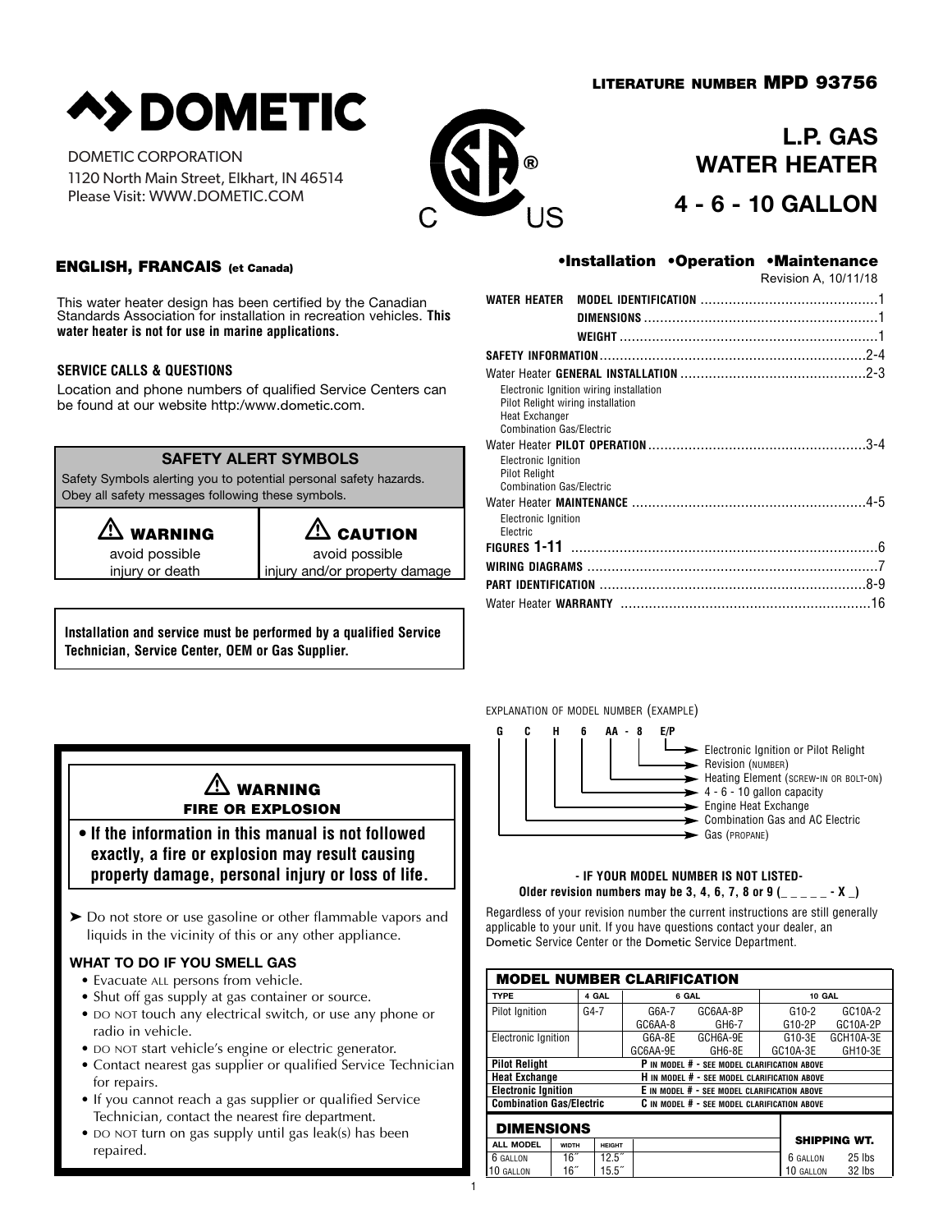# **SOMETIC**

DOMETIC CORPORATION 1120 North Main Street, Elkhart, IN 46514 Please Visit: WWW.DOMETIC.COM



# LITERATURE NUMBER MPD 93756

# **L.P. GAS WATER HEATER 4 - 6 - 10 GALLON**

# ENGLISH, FRANCAIS (et Canada)

This water heater design has been certified by the Canadian Standards Association for installation in recreation vehicles. **This water heater is not for use in marine applications.**

## **SERVICE CALLS & QUESTIONS**

Location and phone numbers of qualified Service Centers can be found at our website http:/www.dometic.com.

# **SAFETY ALERT SYMBOLS**

Safety Symbols alerting you to potential personal safety hazards. Obey all safety messages following these symbols.

 $2 \sum_{\text{avoid possible}}$  **CAUTION** 



avoid possible injury or death injury and/or property damage

**Installation and service must be performed by a qualified Service Technician, Service Center, OEM or Gas Supplier.**

# •Installation •Operation •Maintenance

Revision A, 10/11/18

| Pilot Relight wiring installation<br><b>Heat Exchanger</b><br><b>Combination Gas/Electric</b> | Electronic Ignition wiring installation |  |
|-----------------------------------------------------------------------------------------------|-----------------------------------------|--|
|                                                                                               |                                         |  |
| <b>Electronic Ignition</b><br><b>Pilot Relight</b><br><b>Combination Gas/Electric</b>         |                                         |  |
|                                                                                               |                                         |  |
| <b>Electronic Ignition</b><br>Electric                                                        |                                         |  |
|                                                                                               |                                         |  |
|                                                                                               |                                         |  |
|                                                                                               |                                         |  |
|                                                                                               |                                         |  |
|                                                                                               |                                         |  |

#### EXPLANATION OF MODEL NUMBER (EXAMPLE)



#### **- IF YOUR MODEL NUMBER IS NOT LISTED-Older revision numbers may be 3, 4, 6, 7, 8 or 9 (** $\angle$  $\angle$  $\angle$  $\angle$  $\angle$  $\angle$  $\angle$  $\angle$

Regardless of your revision number the current instructions are still generally applicable to your unit. If you have questions contact your dealer, an Dometic Service Center or the Dometic Service Department.

| <b>MODEL NUMBER CLARIFICATION</b>                                               |                                                                      |               |                     |                                              |                   |                     |  |
|---------------------------------------------------------------------------------|----------------------------------------------------------------------|---------------|---------------------|----------------------------------------------|-------------------|---------------------|--|
| <b>TYPE</b>                                                                     |                                                                      | 4 GAL         |                     | 6 GAL                                        |                   | 10 GAL              |  |
| Pilot Ignition                                                                  |                                                                      | $G4-7$        | G6A-7<br>GC6AA-8    | GC6AA-8P<br>GH6-7                            | $G10-2$<br>G10-2P | GC10A-2<br>GC10A-2P |  |
| <b>Electronic Ignition</b>                                                      |                                                                      |               | G6A-8E              | GCH6A-9E                                     | G10-3E            | GCH10A-3E           |  |
|                                                                                 |                                                                      |               | GC6AA-9E            | GH6-8E                                       | GC10A-3E          | GH10-3E             |  |
|                                                                                 | <b>Pilot Reliaht</b><br>P IN MODEL # - SEE MODEL CLARIFICATION ABOVE |               |                     |                                              |                   |                     |  |
| <b>Heat Exchange</b>                                                            |                                                                      |               |                     | H IN MODEL # - SEE MODEL CLARIFICATION ABOVE |                   |                     |  |
| <b>Electronic Ignition</b><br>E IN MODEL # - SEE MODEL CLARIFICATION ABOVE      |                                                                      |               |                     |                                              |                   |                     |  |
| <b>Combination Gas/Electric</b><br>C IN MODEL # - SEE MODEL CLARIFICATION ABOVE |                                                                      |               |                     |                                              |                   |                     |  |
| <b>DIMENSIONS</b>                                                               |                                                                      |               |                     |                                              |                   |                     |  |
| <b>ALL MODEL</b>                                                                | <b>WIDTH</b>                                                         | <b>HEIGHT</b> | <b>SHIPPING WT.</b> |                                              |                   |                     |  |
| 6 GALLON                                                                        | 16"                                                                  | $12.5^{''}$   |                     |                                              | 6 GALLON          | $25$ lbs            |  |
| 10 GALLON                                                                       | 16"                                                                  | $15.5^{''}$   |                     |                                              | 10 GALLON         | 32 lbs              |  |

# $\overline{\mathbb{A}}$  warning FIRE OR EXPLOSION

- **If the information in this manual is not followed exactly, a fire or explosion may result causing property damage, personal injury or loss of life.**
- ➤ Do not store or use gasoline or other flammable vapors and liquids in the vicinity of this or any other appliance.

# **WHAT TO DO IF YOU SMELL GAS**

 $16$  16  $\pm$  16  $\pm$  16  $\pm$  16  $\pm$  16  $\pm$  16  $\pm$  16  $\pm$  16  $\pm$  16  $\pm$  16  $\pm$  16  $\pm$  16  $\pm$  16  $\pm$  16  $\pm$  16  $\pm$  16  $\pm$  16  $\pm$  16  $\pm$  16  $\pm$  16  $\pm$  16  $\pm$  16  $\pm$  16  $\pm$  16  $\pm$  16  $\pm$  16  $\pm$  16  $\pm$ 

- Evacuate ALL persons from vehicle.
- Shut off gas supply at gas container or source.
- DO NOT touch any electrical switch, or use any phone or radio in vehicle.
- DO NOT start vehicle's engine or electric generator.
- Contact nearest gas supplier or qualified Service Technician for repairs.
- If you cannot reach a gas supplier or qualified Service Technician, contact the nearest fire department.
- DO NOT turn on gas supply until gas leak(s) has been repaired.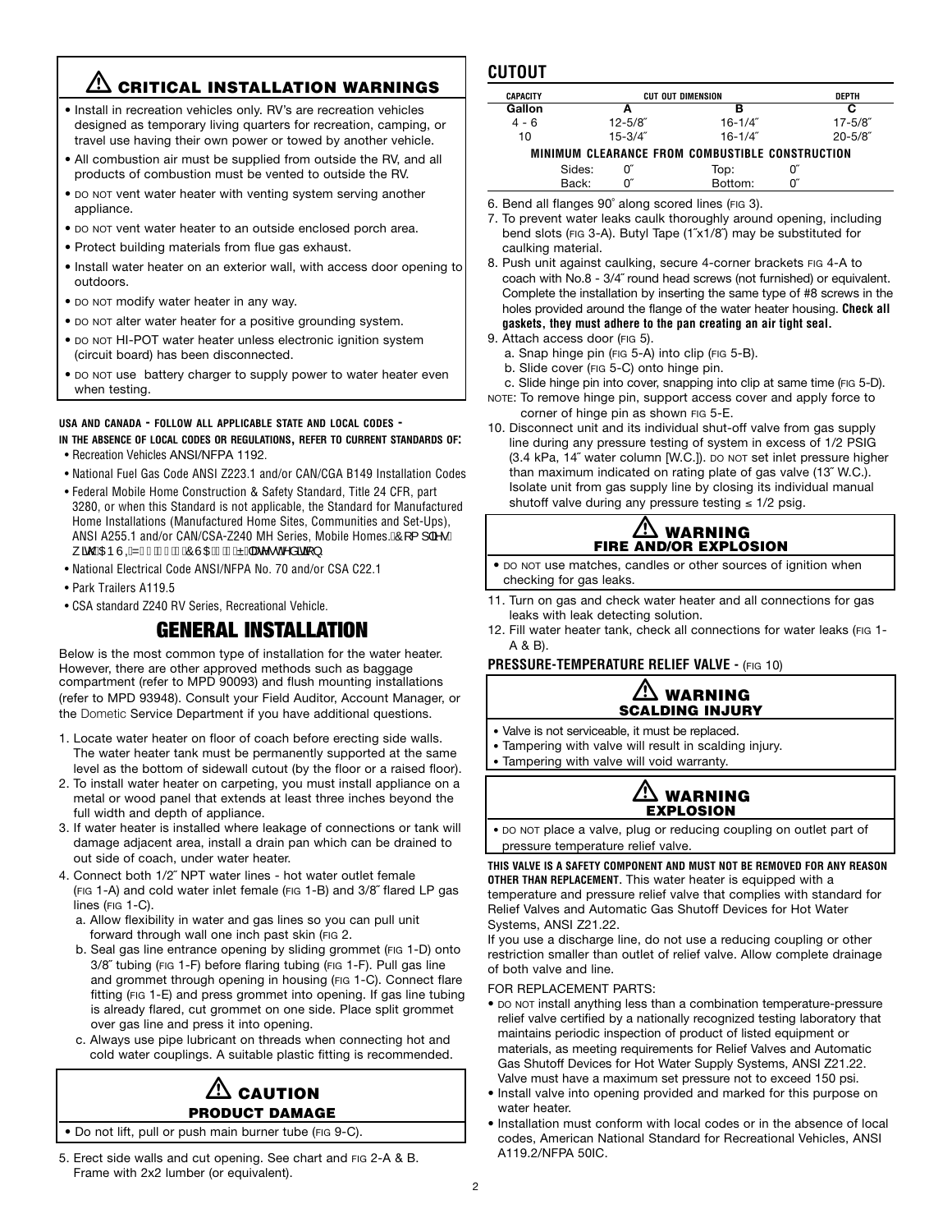# $\triangle$  critical installation warnings

- Install in recreation vehicles only. RV's are recreation vehicles designed as temporary living quarters for recreation, camping, or travel use having their own power or towed by another vehicle.
- All combustion air must be supplied from outside the RV, and all products of combustion must be vented to outside the RV.
- DO NOT vent water heater with venting system serving another appliance.
- DO NOT vent water heater to an outside enclosed porch area.
- Protect building materials from flue gas exhaust.
- Install water heater on an exterior wall, with access door opening to outdoors.
- DO NOT modify water heater in any way.
- DO NOT alter water heater for a positive grounding system.
- DO NOT HI-POT water heater unless electronic ignition system (circuit board) has been disconnected.
- DO NOT use battery charger to supply power to water heater even when testing.

#### **USA AND CANADA - FOLLOW ALL APPLICABLE STATE AND LOCAL CODES -**

**IN THE ABSENCE OF LOCAL CODES OR REGULATIONS, REFER TO CURRENT STANDARDS OF:** • Recreation Vehicles ANSI/NFPA 1192.

- National Fuel Gas Code ANSI Z223.1 and/or CAN/CGA B149 Installation Codes
- Federal Mobile Home Construction & Safety Standard, Title 24 CFR, part 3280, or when this Standard is not applicable, the Standard for Manufactured Home Installations (Manufactured Home Sites, Communities and Set-Ups), ANSI A255.1 and/or CAN/CSA-Z240 MH Series, Mobile Homes. $\hat{A}$  [ { ] |  $\hat{a}$  •  $\hat{A}$ ão @ÁOEÞÙ QÁZ GFÈF€ÈFEÔÙ O EÁ Á Á æ^• o Á å ãã }.
- National Electrical Code ANSI/NFPA No. 70 and/or CSA C22.1
- Park Trailers A119.5
- CSA standard Z240 RV Series, Recreational Vehicle.

# GENERAL INSTALLATION

Below is the most common type of installation for the water heater. However, there are other approved methods such as baggage compartment (refer to MPD 90093) and flush mounting installations (refer to MPD 93948). Consult your Field Auditor, Account Manager, or the Dometic Service Department if you have additional questions.

- 1. Locate water heater on floor of coach before erecting side walls. The water heater tank must be permanently supported at the same level as the bottom of sidewall cutout (by the floor or a raised floor).
- 2. To install water heater on carpeting, you must install appliance on a metal or wood panel that extends at least three inches beyond the full width and depth of appliance.
- 3. If water heater is installed where leakage of connections or tank will damage adjacent area, install a drain pan which can be drained to out side of coach, under water heater.
- 4. Connect both 1/2˝ NPT water lines hot water outlet female (FIG 1-A) and cold water inlet female (FIG 1-B) and 3/8˝ flared LP gas lines (FIG 1-C).
	- a. Allow flexibility in water and gas lines so you can pull unit forward through wall one inch past skin (FIG 2.
	- b. Seal gas line entrance opening by sliding grommet (FIG 1-D) onto 3/8˝ tubing (FIG 1-F) before flaring tubing (FIG 1-F). Pull gas line and grommet through opening in housing (FIG 1-C). Connect flare fitting (FIG 1-E) and press grommet into opening. If gas line tubing is already flared, cut grommet on one side. Place split grommet over gas line and press it into opening.
	- c. Always use pipe lubricant on threads when connecting hot and cold water couplings. A suitable plastic fitting is recommended.

# CAUTION PRODUCT DAMAGE

- Do not lift, pull or push main burner tube (FIG 9-C).
- 5. Erect side walls and cut opening. See chart and FIG 2-A & B. Frame with 2x2 lumber (or equivalent).

# **CUTOUT**

| CAPACITY | <b>CUT OUT DIMENSION</b> | <b>DEPTH</b>                                    |            |
|----------|--------------------------|-------------------------------------------------|------------|
| Gallon   |                          | в                                               |            |
| $4 - 6$  | $12 - 5/8$               | $16 - 1/4$                                      | $17 - 5/8$ |
| 10       | $15 - 3/4$ "             | $16 - 1/4$                                      | $20 - 5/8$ |
|          |                          | MINIMUM CLEARANCE FROM COMBUSTIBLE CONSTRUCTION |            |
|          | Sides:                   | Top:                                            |            |
|          | Back:                    | Bottom:                                         |            |

- 6. Bend all flanges 90˚ along scored lines (FIG 3).
- 7. To prevent water leaks caulk thoroughly around opening, including bend slots (FIG 3-A). Butyl Tape (1˝x1/8˝) may be substituted for caulking material.
- 8. Push unit against caulking, secure 4-corner brackets FIG 4-A to coach with No.8 - 3/4˝ round head screws (not furnished) or equivalent. Complete the installation by inserting the same type of #8 screws in the holes provided around the flange of the water heater housing. **Check all gaskets, they must adhere to the pan creating an air tight seal.**
- 9. Attach access door (FIG 5).
	- a. Snap hinge pin (FIG 5-A) into clip (FIG 5-B).
	- b. Slide cover (FIG 5-C) onto hinge pin.
- c. Slide hinge pin into cover, snapping into clip at same time (FIG 5-D).
- NOTE: To remove hinge pin, support access cover and apply force to corner of hinge pin as shown FIG 5-E.
- 10. Disconnect unit and its individual shut-off valve from gas supply line during any pressure testing of system in excess of 1/2 PSIG (3.4 kPa, 14˝ water column [W.C.]). DO NOT set inlet pressure higher than maximum indicated on rating plate of gas valve (13˝ W.C.). Isolate unit from gas supply line by closing its individual manual shutoff valve during any pressure testing  $\leq 1/2$  psig.



- DO NOT use matches, candles or other sources of ignition when checking for gas leaks.
- 11. Turn on gas and check water heater and all connections for gas leaks with leak detecting solution.
- 12. Fill water heater tank, check all connections for water leaks (FIG 1-A & B).

## **PRESSURE-TEMPERATURE RELIEF VALVE -** (FIG 10)

# WARNING SCALDING INJURY

- Valve is not serviceable, it must be replaced.
- Tampering with valve will result in scalding injury.
- Tampering with valve will void warranty.



• DO NOT place a valve, plug or reducing coupling on outlet part of pressure temperature relief valve.

**THIS VALVE IS A SAFETY COMPONENT AND MUST NOT BE REMOVED FOR ANY REASON OTHER THAN REPLACEMENT.** This water heater is equipped with a temperature and pressure relief valve that complies with standard for Relief Valves and Automatic Gas Shutoff Devices for Hot Water Systems, ANSI Z21.22.

If you use a discharge line, do not use a reducing coupling or other restriction smaller than outlet of relief valve. Allow complete drainage of both valve and line.

#### FOR REPLACEMENT PARTS:

- DO NOT install anything less than a combination temperature-pressure relief valve certified by a nationally recognized testing laboratory that maintains periodic inspection of product of listed equipment or materials, as meeting requirements for Relief Valves and Automatic Gas Shutoff Devices for Hot Water Supply Systems, ANSI Z21.22. Valve must have a maximum set pressure not to exceed 150 psi.
- Install valve into opening provided and marked for this purpose on water heater.
- Installation must conform with local codes or in the absence of local codes, American National Standard for Recreational Vehicles, ANSI A119.2/NFPA 50IC.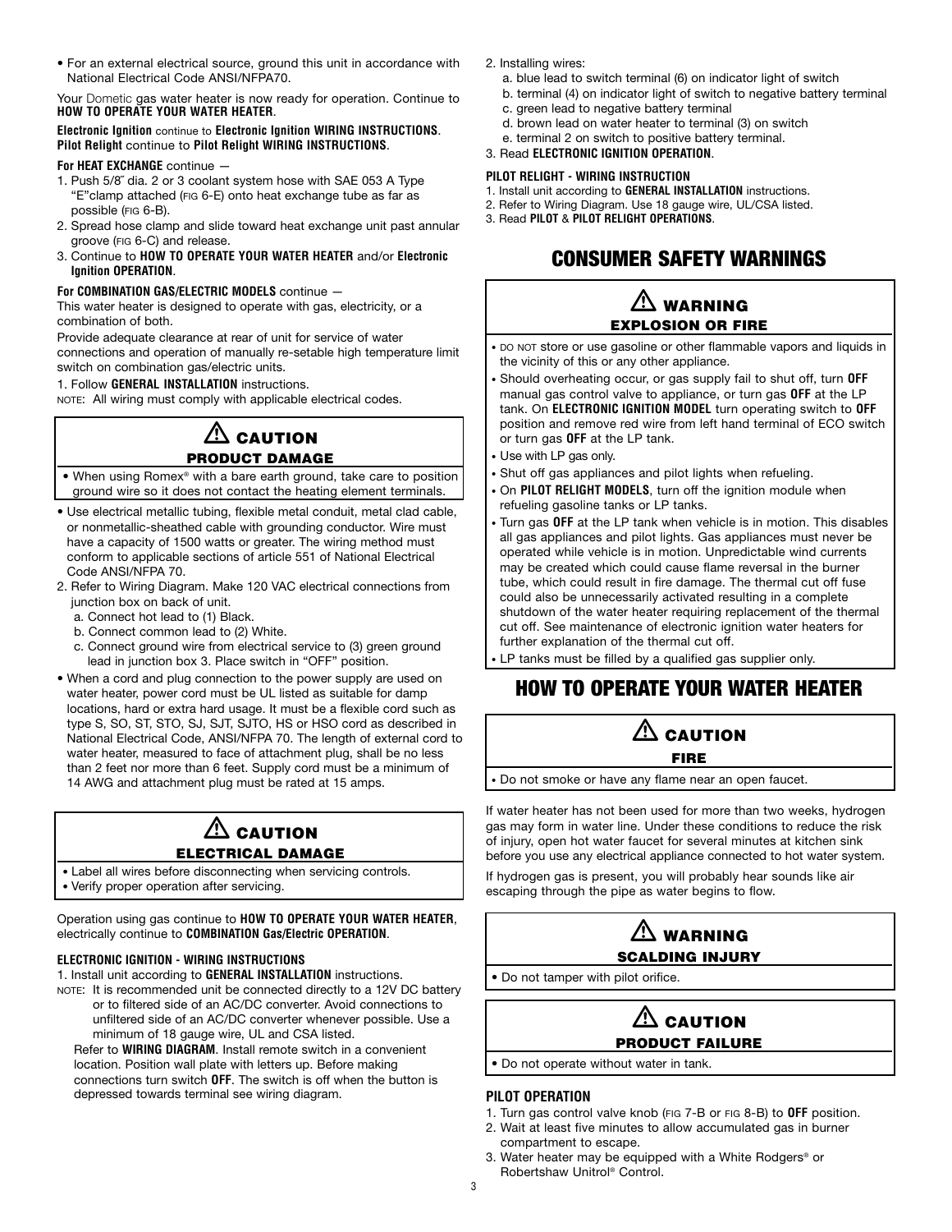• For an external electrical source, ground this unit in accordance with National Electrical Code ANSI/NFPA70.

#### Your Dometic gas water heater is now ready for operation. Continue to **HOW TO OPERATE YOUR WATER HEATER**.

#### **Electronic Ignition** continue to **Electronic Ignition WIRING INSTRUCTIONS**. **Pilot Relight** continue to **Pilot Relight WIRING INSTRUCTIONS**.

#### **For HEAT EXCHANGE** continue —

- 1. Push 5/8˝ dia. 2 or 3 coolant system hose with SAE 053 A Type "E"clamp attached (FIG 6-E) onto heat exchange tube as far as possible (FIG 6-B).
- 2. Spread hose clamp and slide toward heat exchange unit past annular groove (FIG 6-C) and release.
- 3. Continue to **HOW TO OPERATE YOUR WATER HEATER** and/or **Electronic Ignition OPERATION**.

#### **For COMBINATION GAS/ELECTRIC MODELS** continue —

This water heater is designed to operate with gas, electricity, or a combination of both.

Provide adequate clearance at rear of unit for service of water connections and operation of manually re-setable high temperature limit switch on combination gas/electric units.

#### 1. Follow **GENERAL INSTALLATION** instructions.

NOTE: All wiring must comply with applicable electrical codes.



- When using Romex® with a bare earth ground, take care to position ground wire so it does not contact the heating element terminals.
- Use electrical metallic tubing, flexible metal conduit, metal clad cable, or nonmetallic-sheathed cable with grounding conductor. Wire must have a capacity of 1500 watts or greater. The wiring method must conform to applicable sections of article 551 of National Electrical Code ANSI/NFPA 70.
- 2. Refer to Wiring Diagram. Make 120 VAC electrical connections from junction box on back of unit.
	- a. Connect hot lead to (1) Black.
	- b. Connect common lead to (2) White.
	- c. Connect ground wire from electrical service to (3) green ground lead in junction box 3. Place switch in "OFF" position.
- When a cord and plug connection to the power supply are used on water heater, power cord must be UL listed as suitable for damp locations, hard or extra hard usage. It must be a flexible cord such as type S, SO, ST, STO, SJ, SJT, SJTO, HS or HSO cord as described in National Electrical Code, ANSI/NFPA 70. The length of external cord to water heater, measured to face of attachment plug, shall be no less than 2 feet nor more than 6 feet. Supply cord must be a minimum of 14 AWG and attachment plug must be rated at 15 amps.

# $\mathfrak{B}$  caution ELECTRICAL DAMAGE

- Label all wires before disconnecting when servicing controls.
- Verify proper operation after servicing.

Operation using gas continue to **HOW TO OPERATE YOUR WATER HEATER**, electrically continue to **COMBINATION Gas/Electric OPERATION**.

## **ELECTRONIC IGNITION - WIRING INSTRUCTIONS**

1. Install unit according to **GENERAL INSTALLATION** instructions.

NOTE: It is recommended unit be connected directly to a 12V DC battery or to filtered side of an AC/DC converter. Avoid connections to unfiltered side of an AC/DC converter whenever possible. Use a minimum of 18 gauge wire, UL and CSA listed.

Refer to **WIRING DIAGRAM**. Install remote switch in a convenient location. Position wall plate with letters up. Before making connections turn switch **OFF**. The switch is off when the button is depressed towards terminal see wiring diagram.

2. Installing wires:

- a. blue lead to switch terminal (6) on indicator light of switch
- b. terminal (4) on indicator light of switch to negative battery terminal
- c. green lead to negative battery terminal
- d. brown lead on water heater to terminal (3) on switch
- e. terminal 2 on switch to positive battery terminal.
- 3. Read **ELECTRONIC IGNITION OPERATION**.

#### **PILOT RELIGHT - WIRING INSTRUCTION**

- 1. Install unit according to **GENERAL INSTALLATION** instructions.
- 2. Refer to Wiring Diagram. Use 18 gauge wire, UL/CSA listed.
- 3. Read **PILOT** & **PILOT RELIGHT OPERATIONS**.

# CONSUMER SAFETY WARNINGS

# WARNING EXPLOSION OR FIRE

• DO NOT store or use gasoline or other flammable vapors and liquids in the vicinity of this or any other appliance.

• Should overheating occur, or gas supply fail to shut off, turn **OFF** manual gas control valve to appliance, or turn gas **OFF** at the LP tank. On **ELECTRONIC IGNITION MODEL** turn operating switch to **OFF** position and remove red wire from left hand terminal of ECO switch or turn gas **OFF** at the LP tank.

- Use with LP gas only.
- Shut off gas appliances and pilot lights when refueling.
- On **PILOT RELIGHT MODELS**, turn off the ignition module when refueling gasoline tanks or LP tanks.
- Turn gas **OFF** at the LP tank when vehicle is in motion. This disables all gas appliances and pilot lights. Gas appliances must never be operated while vehicle is in motion. Unpredictable wind currents may be created which could cause flame reversal in the burner tube, which could result in fire damage. The thermal cut off fuse could also be unnecessarily activated resulting in a complete shutdown of the water heater requiring replacement of the thermal cut off. See maintenance of electronic ignition water heaters for further explanation of the thermal cut off.
- LP tanks must be filled by a qualified gas supplier only.

# HOW TO OPERATE YOUR WATER HEATER

# **CAUTION**

## FIRE

• Do not smoke or have any flame near an open faucet.

If water heater has not been used for more than two weeks, hydrogen gas may form in water line. Under these conditions to reduce the risk of injury, open hot water faucet for several minutes at kitchen sink before you use any electrical appliance connected to hot water system.

If hydrogen gas is present, you will probably hear sounds like air escaping through the pipe as water begins to flow.

# $\mathbb{A}% _{\mathbb{Z}}$  warning SCALDING INJURY

• Do not tamper with pilot orifice.



• Do not operate without water in tank.

## **PILOT OPERATION**

- 1. Turn gas control valve knob (FIG 7-B or FIG 8-B) to **OFF** position.
- 2. Wait at least five minutes to allow accumulated gas in burner compartment to escape.
- 3. Water heater may be equipped with a White Rodgers® or Robertshaw Unitrol® Control.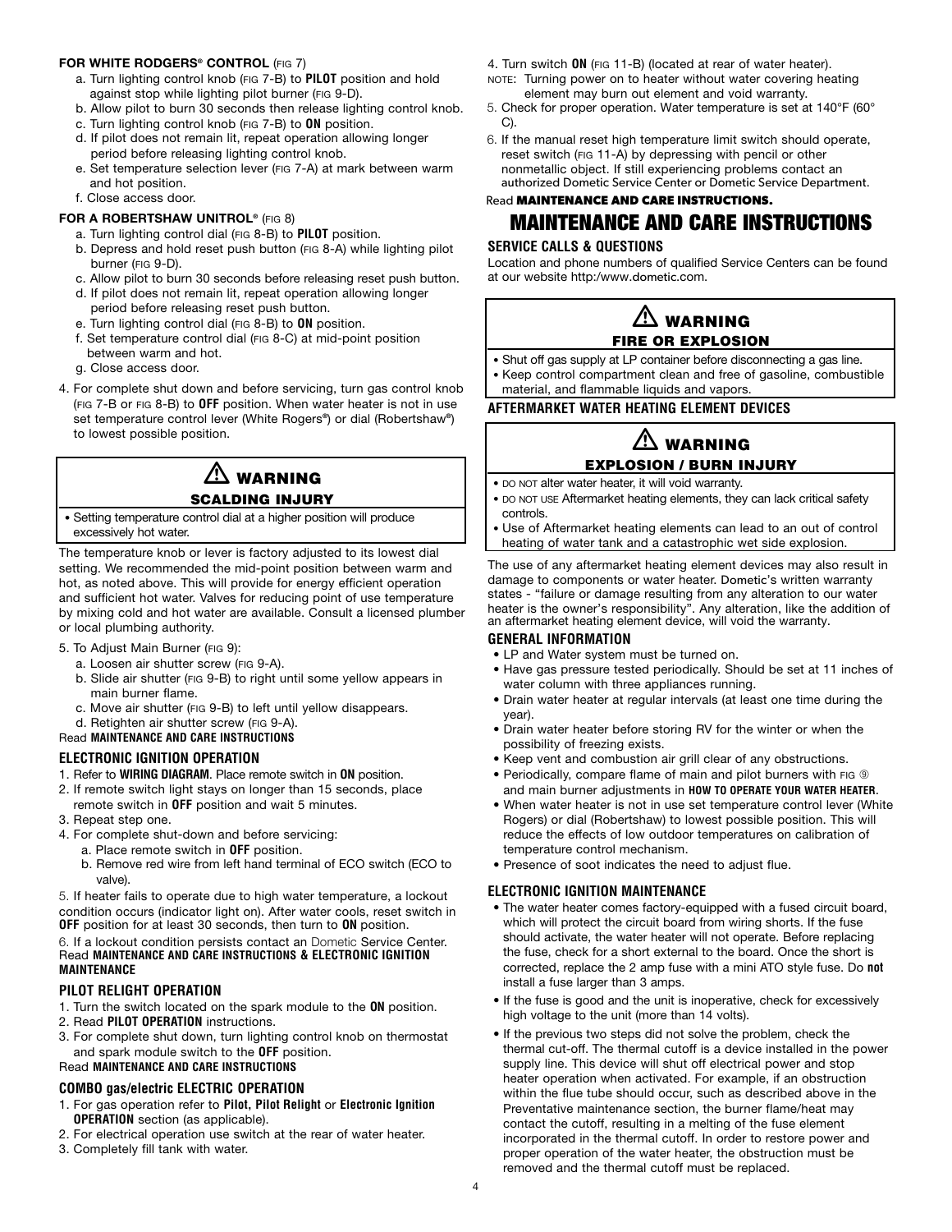#### **FOR WHITE RODGERS® CONTROL** (FIG 7)

- a. Turn lighting control knob (FIG 7-B) to **PILOT** position and hold against stop while lighting pilot burner (FIG 9-D).
- b. Allow pilot to burn 30 seconds then release lighting control knob.
- c. Turn lighting control knob (FIG 7-B) to **ON** position.
- d. If pilot does not remain lit, repeat operation allowing longer period before releasing lighting control knob.
- e. Set temperature selection lever (FIG 7-A) at mark between warm and hot position.
- f. Close access door.

#### **FOR A ROBERTSHAW UNITROL®** (FIG 8)

- a. Turn lighting control dial (FIG 8-B) to **PILOT** position.
- b. Depress and hold reset push button (FIG 8-A) while lighting pilot burner (FIG 9-D).
- c. Allow pilot to burn 30 seconds before releasing reset push button.
- d. If pilot does not remain lit, repeat operation allowing longer period before releasing reset push button.
- e. Turn lighting control dial (FIG 8-B) to **ON** position.
- f. Set temperature control dial (FIG 8-C) at mid-point position between warm and hot.
- g. Close access door.
- 4. For complete shut down and before servicing, turn gas control knob (FIG 7-B or FIG 8-B) to **OFF** position. When water heater is not in use set temperature control lever (White Rogers**®**) or dial (Robertshaw**®**) to lowest possible position.

# $\mathbb A$  warning SCALDING INJURY

• Setting temperature control dial at a higher position will produce excessively hot water.

The temperature knob or lever is factory adjusted to its lowest dial setting. We recommended the mid-point position between warm and hot, as noted above. This will provide for energy efficient operation and sufficient hot water. Valves for reducing point of use temperature by mixing cold and hot water are available. Consult a licensed plumber or local plumbing authority.

- 5. To Adjust Main Burner (FIG 9):
	- a. Loosen air shutter screw (FIG 9-A).
	- b. Slide air shutter (FIG 9-B) to right until some yellow appears in main burner flame.
	- c. Move air shutter (FIG 9-B) to left until yellow disappears.
- d. Retighten air shutter screw (FIG 9-A).
- Read **MAINTENANCE AND CARE INSTRUCTIONS**

## **ELECTRONIC IGNITION OPERATION**

- 1. Refer to **WIRING DIAGRAM**. Place remote switch in **ON** position.
- 2. If remote switch light stays on longer than 15 seconds, place
- remote switch in **OFF** position and wait 5 minutes. 3. Repeat step one.
- 4. For complete shut-down and before servicing:
	- a. Place remote switch in **OFF** position.
	- b. Remove red wire from left hand terminal of ECO switch (ECO to valve).

5. If heater fails to operate due to high water temperature, a lockout condition occurs (indicator light on). After water cools, reset switch in **OFF** position for at least 30 seconds, then turn to **ON** position.

#### 6. If a lockout condition persists contact an Dometic Service Center. Read **MAINTENANCE AND CARE INSTRUCTIONS & ELECTRONIC IGNITION MAINTENANCE**

## **PILOT RELIGHT OPERATION**

- 1. Turn the switch located on the spark module to the **ON** position.
- 2. Read **PILOT OPERATION** instructions.
- 3. For complete shut down, turn lighting control knob on thermostat and spark module switch to the **OFF** position.

# Read **MAINTENANCE AND CARE INSTRUCTIONS**

## **COMBO gas/electric ELECTRIC OPERATION**

- 1. For gas operation refer to **Pilot, Pilot Relight** or **Electronic Ignition OPERATION** section (as applicable).
- 2. For electrical operation use switch at the rear of water heater.
- 3. Completely fill tank with water.
- 4. Turn switch **ON** (FIG 11-B) (located at rear of water heater).
- NOTE: Turning power on to heater without water covering heating element may burn out element and void warranty.
- 5. Check for proper operation. Water temperature is set at 140°F (60° C).
- 6. If the manual reset high temperature limit switch should operate, reset switch (FIG 11-A) by depressing with pencil or other nonmetallic object. If still experiencing problems contact an authorized Dometic Service Center or Dometic Service Department.
- Read **MAINTENANCE AND CARE INSTRUCTIONS.**

# MAINTENANCE AND CARE INSTRUCTIONS

## **SERVICE CALLS & QUESTIONS**

Location and phone numbers of qualified Service Centers can be found at our website http:/www.dometic.com.

# $\triangle$  warning FIRE OR EXPLOSION

- Shut off gas supply at LP container before disconnecting a gas line.
- Keep control compartment clean and free of gasoline, combustible
- material, and flammable liquids and vapors.

**AFTERMARKET WATER HEATING ELEMENT DEVICES**

# $\overline{\mathbb{A}}$  warning EXPLOSION / BURN INJURY

- DO NOT alter water heater, it will void warranty.
- DO NOT USE Aftermarket heating elements, they can lack critical safety controls.
- Use of Aftermarket heating elements can lead to an out of control heating of water tank and a catastrophic wet side explosion.

The use of any aftermarket heating element devices may also result in damage to components or water heater. Dometic's written warranty states - "failure or damage resulting from any alteration to our water heater is the owner's responsibility". Any alteration, like the addition of an aftermarket heating element device, will void the warranty.

## **GENERAL INFORMATION**

- LP and Water system must be turned on.
- Have gas pressure tested periodically. Should be set at 11 inches of water column with three appliances running.
- Drain water heater at regular intervals (at least one time during the year).
- Drain water heater before storing RV for the winter or when the possibility of freezing exists.
- Keep vent and combustion air grill clear of any obstructions.
- Periodically, compare flame of main and pilot burners with FIG ® and main burner adjustments in **HOW TO OPERATE YOUR WATER HEATER**.
- When water heater is not in use set temperature control lever (White Rogers) or dial (Robertshaw) to lowest possible position. This will reduce the effects of low outdoor temperatures on calibration of temperature control mechanism.
- Presence of soot indicates the need to adjust flue.

## **ELECTRONIC IGNITION MAINTENANCE**

- The water heater comes factory-equipped with a fused circuit board, which will protect the circuit board from wiring shorts. If the fuse should activate, the water heater will not operate. Before replacing the fuse, check for a short external to the board. Once the short is corrected, replace the 2 amp fuse with a mini ATO style fuse. Do **not** install a fuse larger than 3 amps.
- If the fuse is good and the unit is inoperative, check for excessively high voltage to the unit (more than 14 volts).
- If the previous two steps did not solve the problem, check the thermal cut-off. The thermal cutoff is a device installed in the power supply line. This device will shut off electrical power and stop heater operation when activated. For example, if an obstruction within the flue tube should occur, such as described above in the Preventative maintenance section, the burner flame/heat may contact the cutoff, resulting in a melting of the fuse element incorporated in the thermal cutoff. In order to restore power and proper operation of the water heater, the obstruction must be removed and the thermal cutoff must be replaced.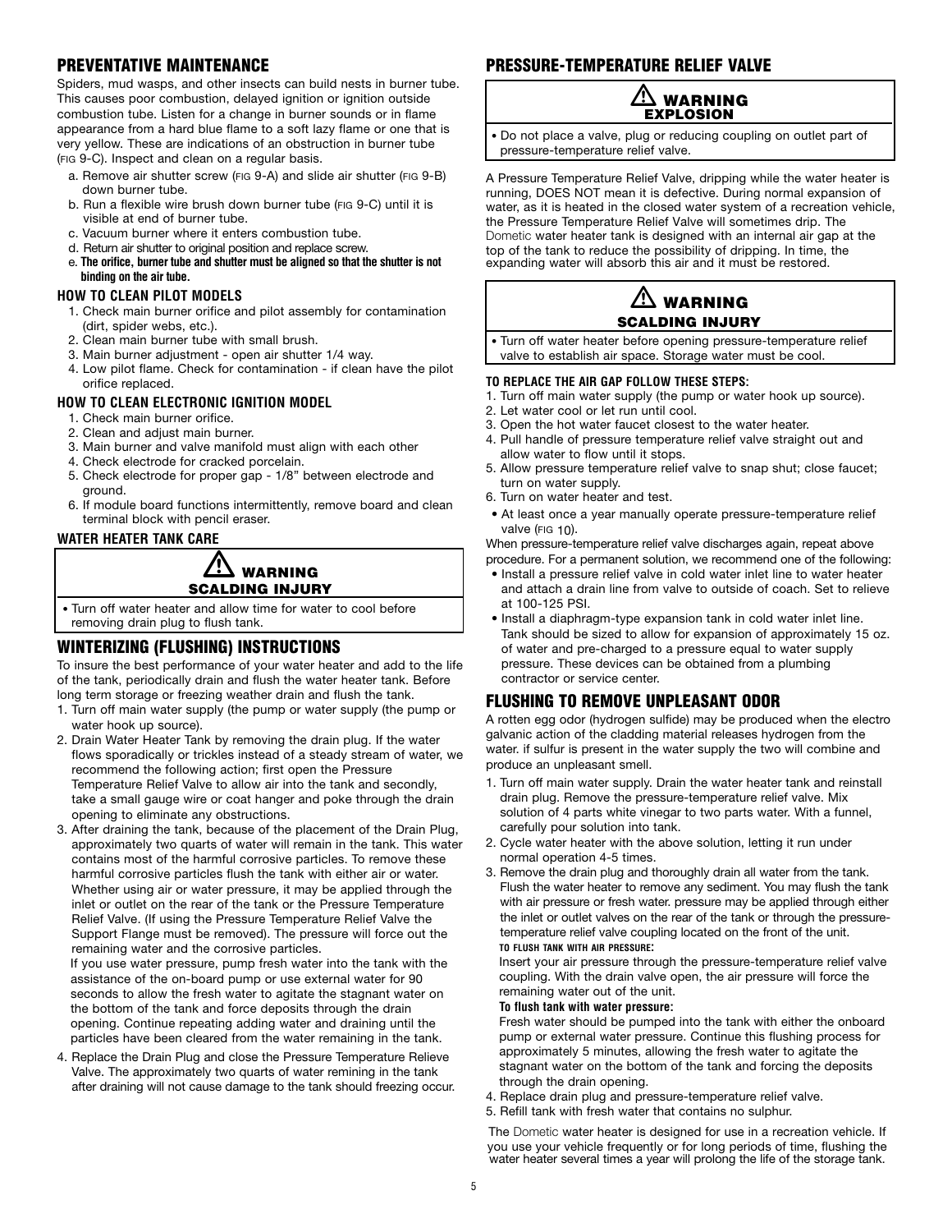# PREVENTATIVE MAINTENANCE

Spiders, mud wasps, and other insects can build nests in burner tube. This causes poor combustion, delayed ignition or ignition outside combustion tube. Listen for a change in burner sounds or in flame appearance from a hard blue flame to a soft lazy flame or one that is very yellow. These are indications of an obstruction in burner tube (FIG 9-C). Inspect and clean on a regular basis.

- a. Remove air shutter screw (FIG 9-A) and slide air shutter (FIG 9-B) down burner tube.
- b. Run a flexible wire brush down burner tube (FIG 9-C) until it is visible at end of burner tube.
- c. Vacuum burner where it enters combustion tube.
- d. Return air shutter to original position and replace screw.
- e. **The orifice, burner tube and shutter must be aligned so that the shutter is not binding on the air tube.**

#### **HOW TO CLEAN PILOT MODELS**

- 1. Check main burner orifice and pilot assembly for contamination (dirt, spider webs, etc.).
- 2. Clean main burner tube with small brush.
- 3. Main burner adjustment open air shutter 1/4 way.
- 4. Low pilot flame. Check for contamination if clean have the pilot orifice replaced.

## **HOW TO CLEAN ELECTRONIC IGNITION MODEL**

- 1. Check main burner orifice.
- 2. Clean and adjust main burner.
- 3. Main burner and valve manifold must align with each other
- 4. Check electrode for cracked porcelain.
- 5. Check electrode for proper gap 1/8" between electrode and ground.
- 6. If module board functions intermittently, remove board and clean terminal block with pencil eraser.

#### **WATER HEATER TANK CARE**



• Turn off water heater and allow time for water to cool before removing drain plug to flush tank.

# WINTERIZING (FLUSHING) INSTRUCTIONS

To insure the best performance of your water heater and add to the life of the tank, periodically drain and flush the water heater tank. Before long term storage or freezing weather drain and flush the tank.

- 1. Turn off main water supply (the pump or water supply (the pump or water hook up source).
- 2. Drain Water Heater Tank by removing the drain plug. If the water flows sporadically or trickles instead of a steady stream of water, we recommend the following action; first open the Pressure Temperature Relief Valve to allow air into the tank and secondly, take a small gauge wire or coat hanger and poke through the drain opening to eliminate any obstructions.
- 3. After draining the tank, because of the placement of the Drain Plug, approximately two quarts of water will remain in the tank. This water contains most of the harmful corrosive particles. To remove these harmful corrosive particles flush the tank with either air or water. Whether using air or water pressure, it may be applied through the inlet or outlet on the rear of the tank or the Pressure Temperature Relief Valve. (If using the Pressure Temperature Relief Valve the Support Flange must be removed). The pressure will force out the remaining water and the corrosive particles.

If you use water pressure, pump fresh water into the tank with the assistance of the on-board pump or use external water for 90 seconds to allow the fresh water to agitate the stagnant water on the bottom of the tank and force deposits through the drain opening. Continue repeating adding water and draining until the particles have been cleared from the water remaining in the tank.

4. Replace the Drain Plug and close the Pressure Temperature Relieve Valve. The approximately two quarts of water remining in the tank after draining will not cause damage to the tank should freezing occur.

# PRESSURE-TEMPERATURE RELIEF VALVE

# **AD** WARNING EXPLOSION

• Do not place a valve, plug or reducing coupling on outlet part of pressure-temperature relief valve.

A Pressure Temperature Relief Valve, dripping while the water heater is running, DOES NOT mean it is defective. During normal expansion of water, as it is heated in the closed water system of a recreation vehicle, the Pressure Temperature Relief Valve will sometimes drip. The Dometic water heater tank is designed with an internal air gap at the top of the tank to reduce the possibility of dripping. In time, the expanding water will absorb this air and it must be restored.

# **A** warning SCALDING INJURY

# • Turn off water heater before opening pressure-temperature relief

valve to establish air space. Storage water must be cool.

#### **TO REPLACE THE AIR GAP FOLLOW THESE STEPS:**

- 1. Turn off main water supply (the pump or water hook up source).
- 2. Let water cool or let run until cool.
- 3. Open the hot water faucet closest to the water heater.
- 4. Pull handle of pressure temperature relief valve straight out and allow water to flow until it stops.
- 5. Allow pressure temperature relief valve to snap shut; close faucet; turn on water supply.
- 6. Turn on water heater and test.
- At least once a year manually operate pressure-temperature relief valve (FIG 10).

When pressure-temperature relief valve discharges again, repeat above procedure. For a permanent solution, we recommend one of the following:

- Install a pressure relief valve in cold water inlet line to water heater and attach a drain line from valve to outside of coach. Set to relieve at 100-125 PSI.
- Install a diaphragm-type expansion tank in cold water inlet line. Tank should be sized to allow for expansion of approximately 15 oz. of water and pre-charged to a pressure equal to water supply pressure. These devices can be obtained from a plumbing contractor or service center.

# FLUSHING TO REMOVE UNPLEASANT ODOR

A rotten egg odor (hydrogen sulfide) may be produced when the electro galvanic action of the cladding material releases hydrogen from the water. if sulfur is present in the water supply the two will combine and produce an unpleasant smell.

- 1. Turn off main water supply. Drain the water heater tank and reinstall drain plug. Remove the pressure-temperature relief valve. Mix solution of 4 parts white vinegar to two parts water. With a funnel, carefully pour solution into tank.
- 2. Cycle water heater with the above solution, letting it run under normal operation 4-5 times.
- 3. Remove the drain plug and thoroughly drain all water from the tank. Flush the water heater to remove any sediment. You may flush the tank with air pressure or fresh water. pressure may be applied through either the inlet or outlet valves on the rear of the tank or through the pressuretemperature relief valve coupling located on the front of the unit. **TO FLUSH TANK WITH AIR PRESSURE:**

Insert your air pressure through the pressure-temperature relief valve coupling. With the drain valve open, the air pressure will force the remaining water out of the unit.

#### **To flush tank with water pressure:**

Fresh water should be pumped into the tank with either the onboard pump or external water pressure. Continue this flushing process for approximately 5 minutes, allowing the fresh water to agitate the stagnant water on the bottom of the tank and forcing the deposits through the drain opening.

- 4. Replace drain plug and pressure-temperature relief valve.
- 5. Refill tank with fresh water that contains no sulphur.

The Dometic water heater is designed for use in a recreation vehicle. If you use your vehicle frequently or for long periods of time, flushing the water heater several times a year will prolong the life of the storage tank.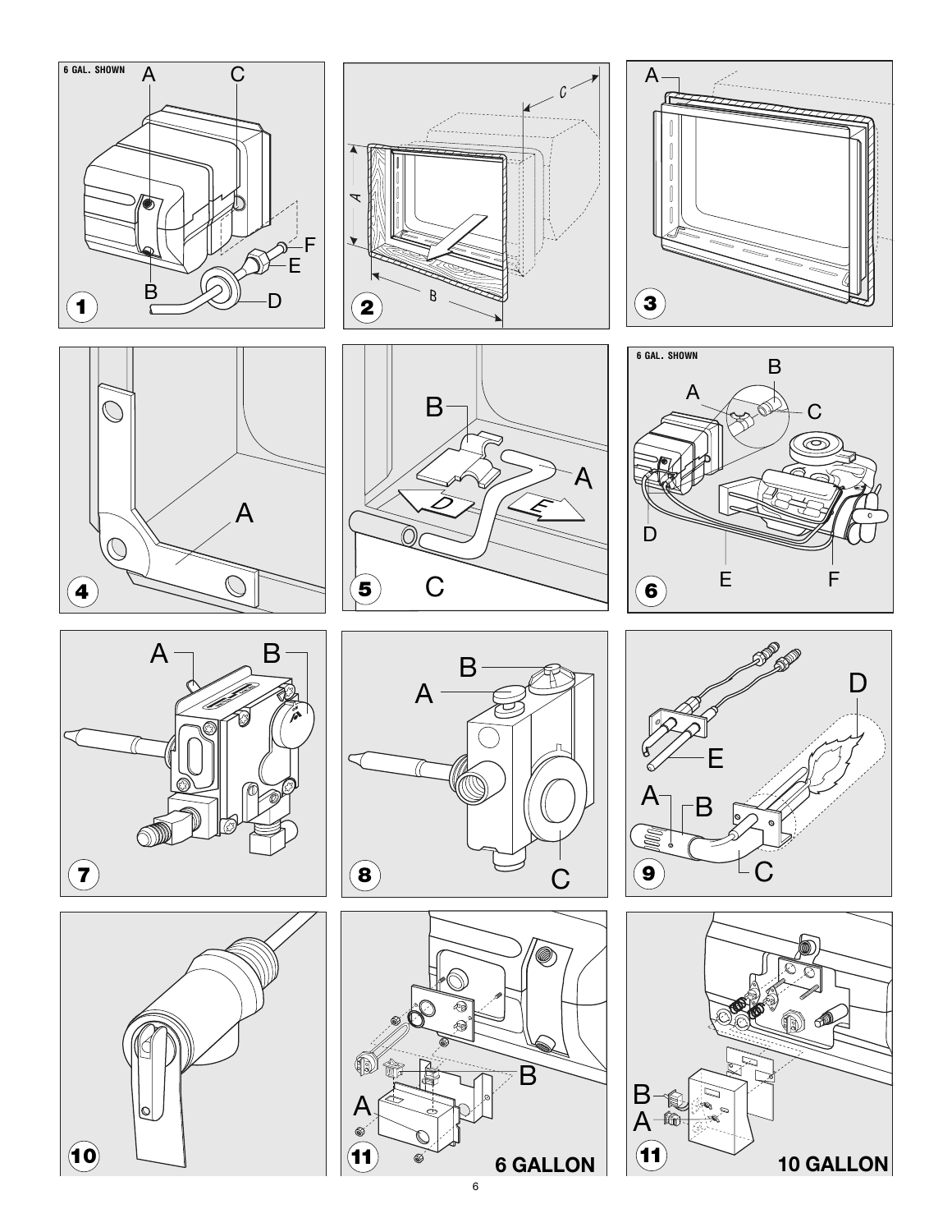





















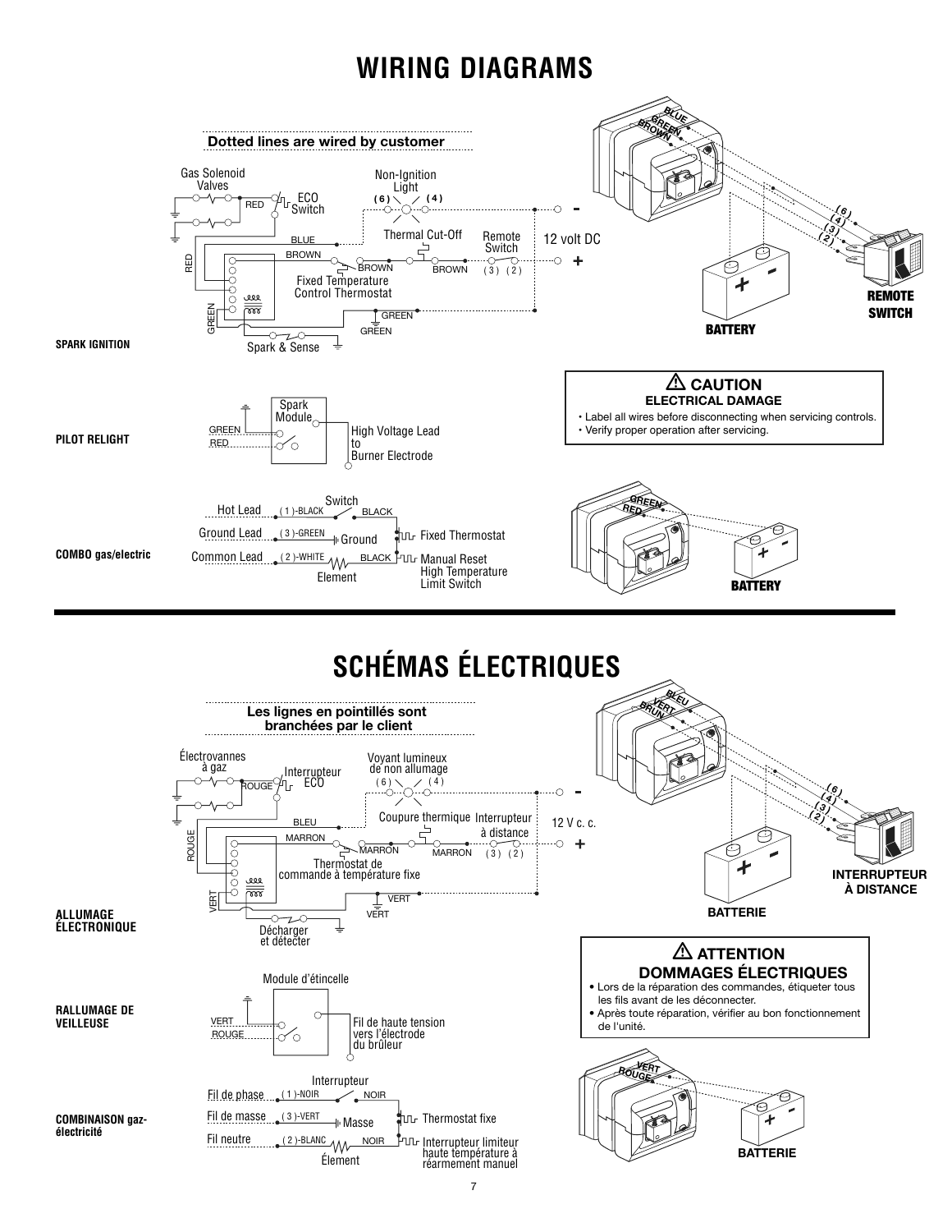# **WIRING DIAGRAMS**



# **SCHÉMAS ÉLECTRIQUES**

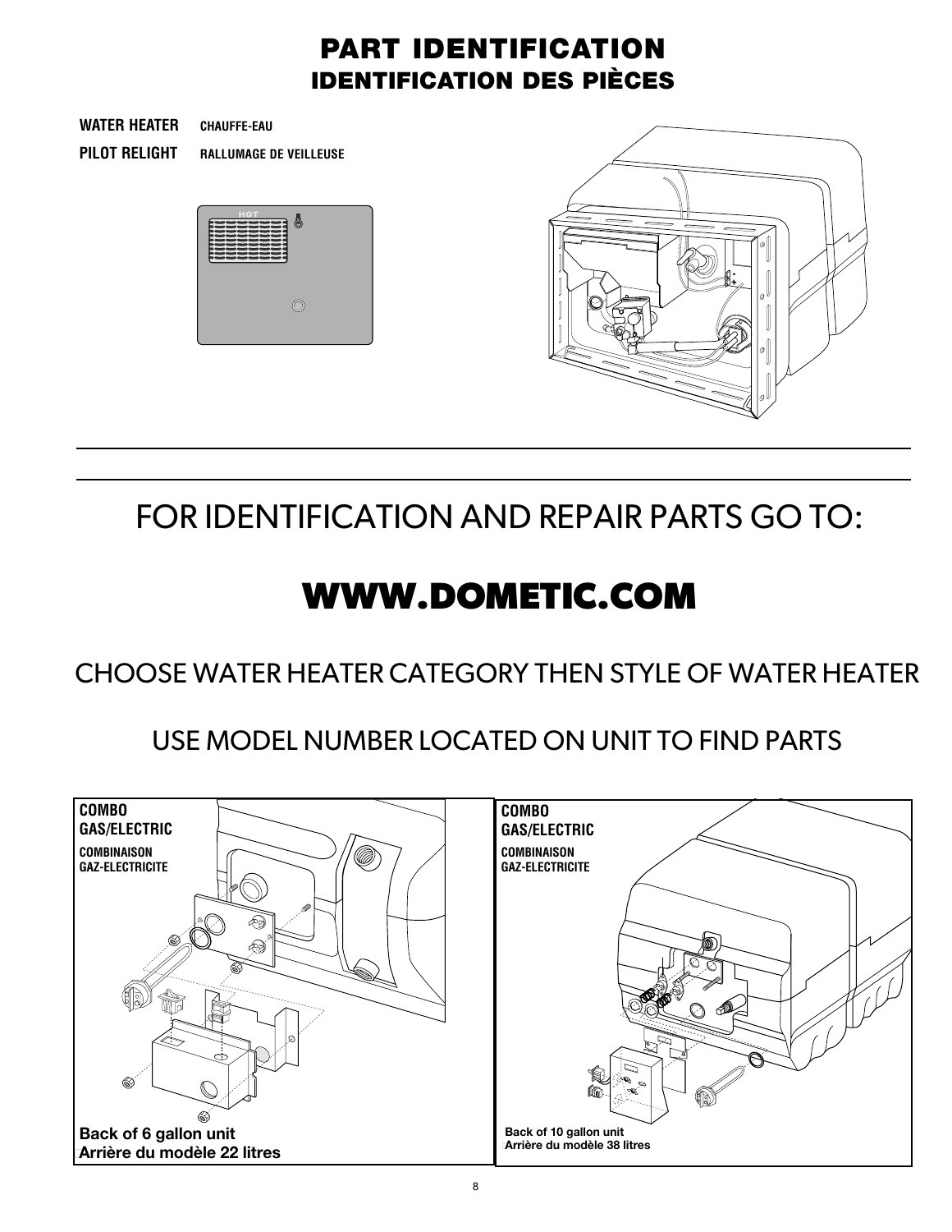# PART IDENTIFICATION IDENTIFICATION DES PIÈCES

**WATER HEATER CHAUFFE-EAU PILOT RELIGHT RALLUMAGE DE VEILLEUSE**





# FOR IDENTIFICATION AND REPAIR PARTS GO TO:

# **WWW.DOMETIC.COM**

# CHOOSE WATER HEATER CATEGORY THEN STYLE OF WATER HEATER

# USE MODEL NUMBER LOCATED ON UNIT TO FIND PARTS

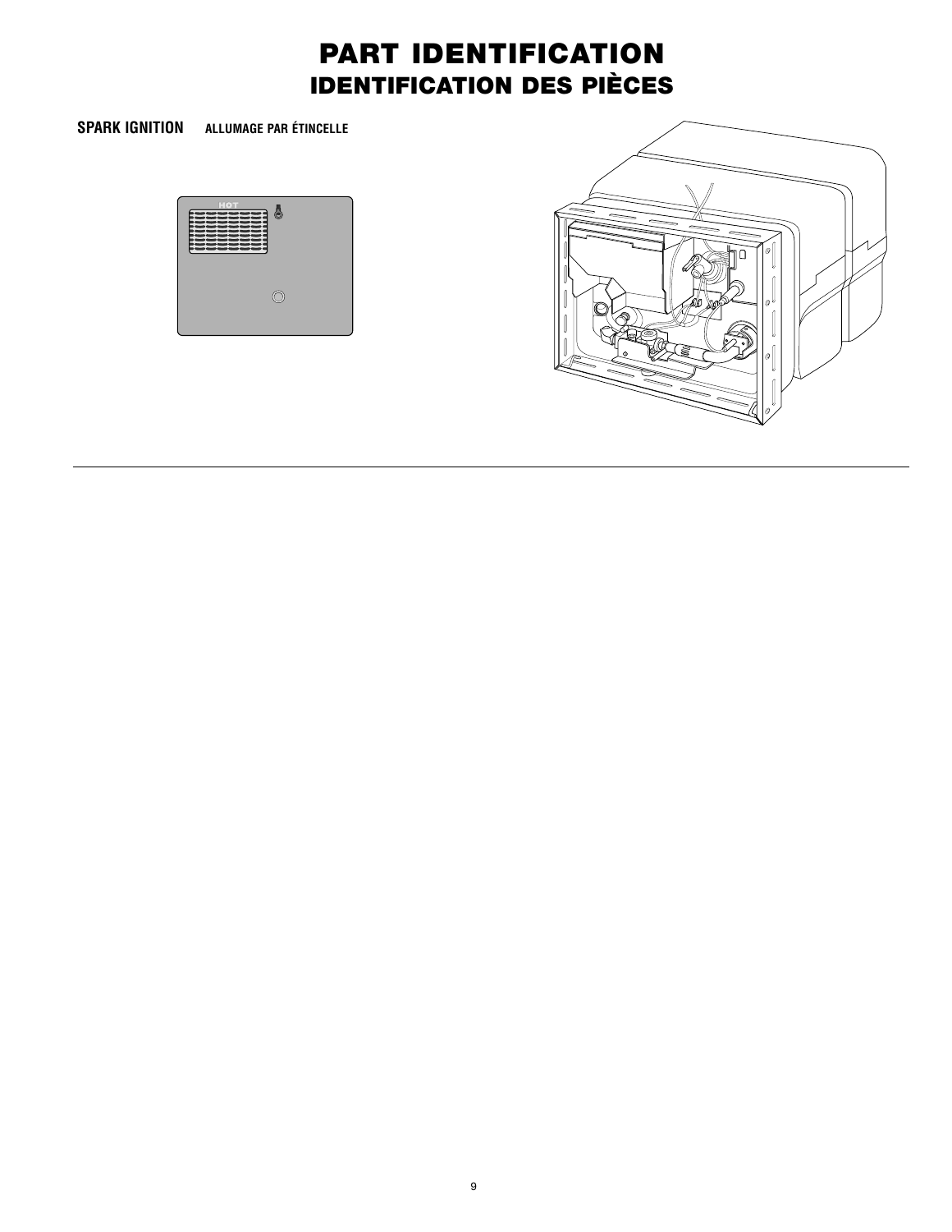# PART IDENTIFICATION IDENTIFICATION DES PIÈCES

**SPARK IGNITION ALLUMAGE PAR ÉTINCELLE**



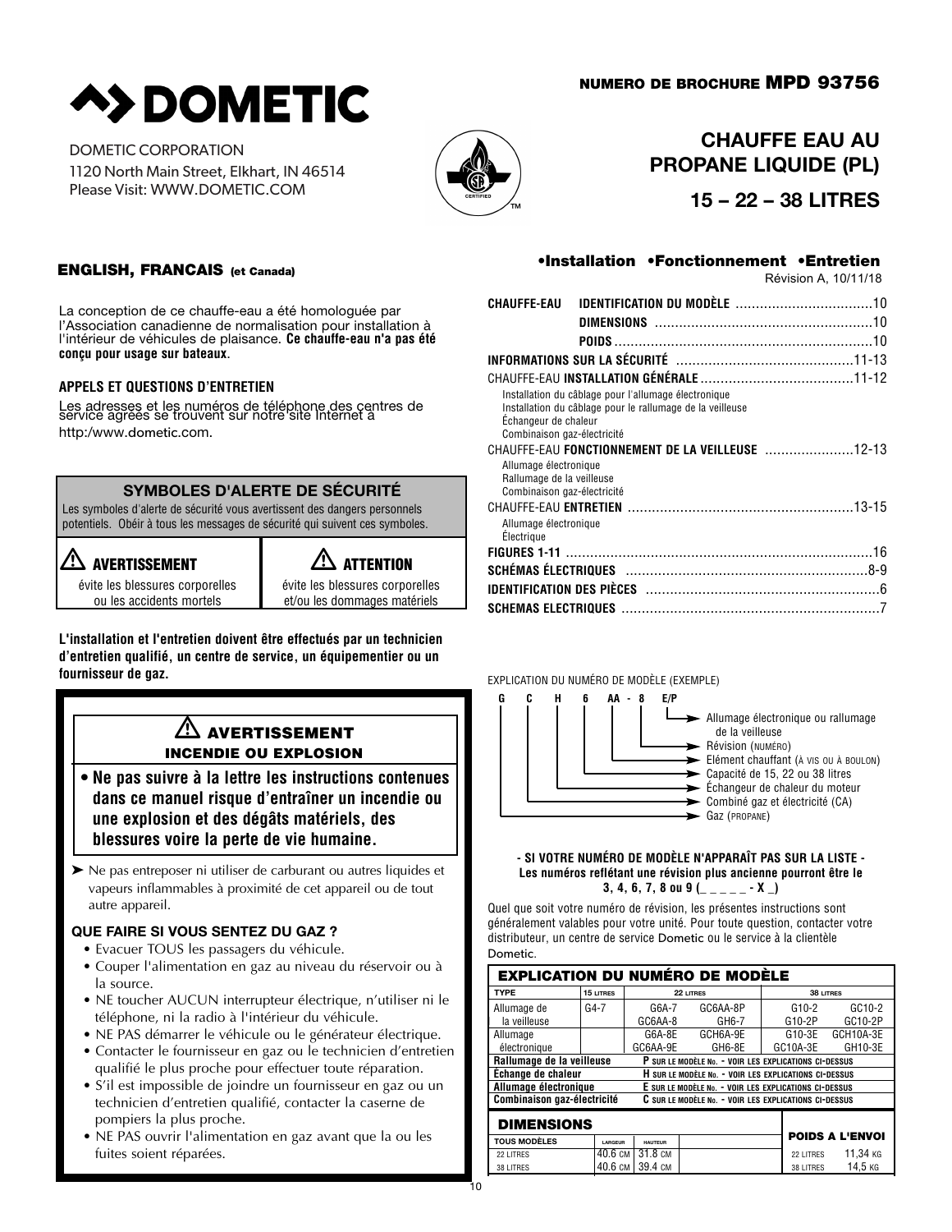

DOMETIC CORPORATION 1120 North Main Street, Elkhart, IN 46514 Please Visit: WWW.DOMETIC.COM



# **CHAUFFE EAU AU PROPANE LIQUIDE (PL)**

**15 – 22 – 38 LITRES**

# ENGLISH, FRANCAIS (et Canada)

La conception de ce chauffe-eau a été homologuée par l'Association canadienne de normalisation pour installation à l'intérieur de véhicules de plaisance. **Ce chauffe-eau n'a pas été conçu pour usage sur bateaux**.

## **APPELS ET QUESTIONS D'ENTRETIEN**

Les adresses et les numéros de téléphone des centres de service agréés se trouvent sur notre site Internet à http:/www.dometic.com.

# **SYMBOLES D'ALERTE DE SÉCURITÉ**

Les symboles d'alerte de sécurité vous avertissent des dangers personnels potentiels. Obéir à tous les messages de sécurité qui suivent ces symboles.

# **AVERTISSEMENT**  $\sum_{\text{\'evite}}$  **ATTENTION**

évite les blessures corporelles ou les accidents mortels et/ou les dommages matériels

**L'installation et l'entretien doivent être effectués par un technicien d'entretien qualifié, un centre de service, un équipementier ou un fournisseur de gaz.**

# AVERTISSEMENT INCENDIE OU EXPLOSION

- **Ne pas suivre à la lettre les instructions contenues dans ce manuel risque d'entraîner un incendie ou une explosion et des dégâts matériels, des blessures voire la perte de vie humaine.**
- ➤ Ne pas entreposer ni utiliser de carburant ou autres liquides et vapeurs inflammables à proximité de cet appareil ou de tout autre appareil.

# **QUE FAIRE SI VOUS SENTEZ DU GAZ ?**

- Evacuer TOUS les passagers du véhicule.
- Couper l'alimentation en gaz au niveau du réservoir ou à la source.
- NE toucher AUCUN interrupteur électrique, n'utiliser ni le téléphone, ni la radio à l'intérieur du véhicule.
- NE PAS démarrer le véhicule ou le générateur électrique.
- Contacter le fournisseur en gaz ou le technicien d'entretien qualifié le plus proche pour effectuer toute réparation.
- S'il est impossible de joindre un fournisseur en gaz ou un technicien d'entretien qualifié, contacter la caserne de pompiers la plus proche.
- NE PAS ouvrir l'alimentation en gaz avant que la ou les fuites soient réparées.

# •Installation •Fonctionnement •Entretien

Révision A, 10/11/18

| Échangeur de chaleur<br>Combinaison gaz-électricité                               | Installation du câblage pour l'allumage électronique<br>Installation du câblage pour le rallumage de la veilleuse |  |
|-----------------------------------------------------------------------------------|-------------------------------------------------------------------------------------------------------------------|--|
|                                                                                   | CHAUFFE-EAU FONCTIONNEMENT DE LA VEILLEUSE 12-13                                                                  |  |
| Allumage électronique<br>Rallumage de la veilleuse<br>Combinaison gaz-électricité |                                                                                                                   |  |
|                                                                                   |                                                                                                                   |  |
| Allumage électronique<br>Électrique                                               |                                                                                                                   |  |
|                                                                                   |                                                                                                                   |  |
|                                                                                   |                                                                                                                   |  |
|                                                                                   |                                                                                                                   |  |
|                                                                                   |                                                                                                                   |  |

EXPLICATION DU NUMÉRO DE MODÈLE (EXEMPLE)



#### **- SI VOTRE NUMÉRO DE MODÈLE N'APPARAÎT PAS SUR LA LISTE - Les numéros reflétant une révision plus ancienne pourront être le 3, 4, 6, 7, 8 ou 9 (\_\_\_\_\_\_ - X \_)**

Quel que soit votre numéro de révision, les présentes instructions sont généralement valables pour votre unité. Pour toute question, contacter votre distributeur, un centre de service Dometic ou le service à la clientèle Dometic.

| <b>EXPLICATION DU NUMÉRO DE MODÈLE</b>                                               |           |           |          |          |           |  |
|--------------------------------------------------------------------------------------|-----------|-----------|----------|----------|-----------|--|
| <b>TYPE</b>                                                                          | 15 LITRES | 22 LITRES |          |          | 38 LITRES |  |
| Allumage de                                                                          | $G4 - 7$  | G6A-7     | GC6AA-8P | $G10-2$  | GC10-2    |  |
| la veilleuse                                                                         |           | GC6AA-8   | GH6-7    | G10-2P   | GC10-2P   |  |
| Allumage                                                                             |           | G6A-8E    | GCH6A-9E | G10-3E   | GCH10A-3E |  |
| électronique                                                                         |           | GC6AA-9E  | GH6-8E   | GC10A-3E | GH10-3E   |  |
| Rallumage de la veilleuse<br>P SUR LE MODÈLE No. - VOIR LES EXPLICATIONS CI-DESSUS   |           |           |          |          |           |  |
| Échange de chaleur<br><b>H</b> SUR LE MODÈLE No. - VOIR LES EXPLICATIONS CI-DESSUS   |           |           |          |          |           |  |
| Allumage électronique<br>E SUR LE MODÈLE No. - VOIR LES EXPLICATIONS CI-DESSUS       |           |           |          |          |           |  |
| Combinaison gaz-électricité<br>C SUR LE MODÈLE No. - VOIR LES EXPLICATIONS CI-DESSUS |           |           |          |          |           |  |
| <b>DIMENSIONS</b>                                                                    |           |           |          |          |           |  |

| <b>DIMENSIONS</b>   |         |                   |  |           |                   |
|---------------------|---------|-------------------|--|-----------|-------------------|
| <b>TOUS MODÈLES</b> | LARGEUR | <b>HAUTEUR</b>    |  |           | i POIDS A L'ENVOI |
| 22 LITRES           |         | 40.6 cm   31.8 cm |  | 22 LITRES | 11.34 кс          |
| 38 LITRES           |         | 40.6 см   39.4 см |  | 38 LITRES | 14.5 KG           |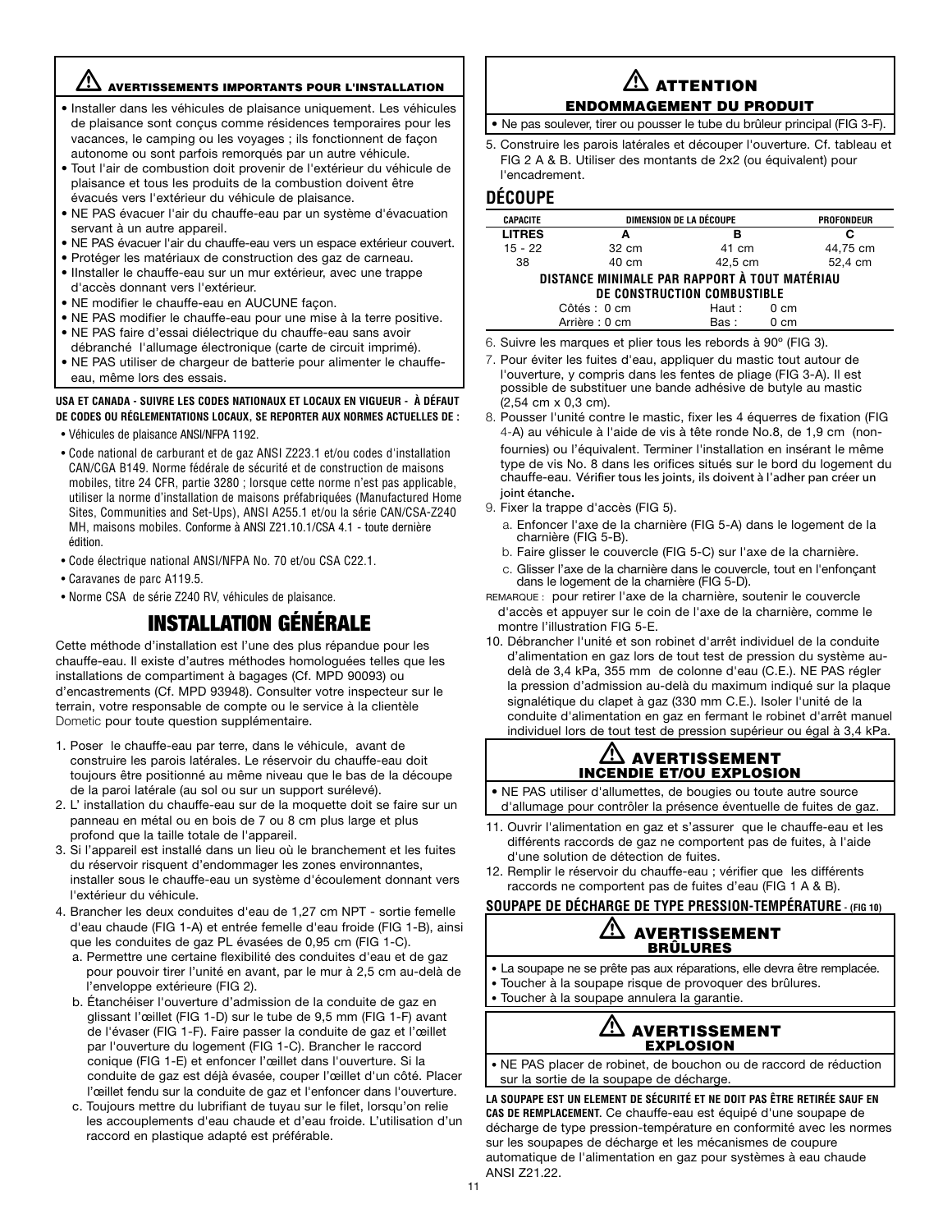# $\overline{\mathbf{A}}$  avertissements importants pour l'installation

- Installer dans les véhicules de plaisance uniquement. Les véhicules de plaisance sont conçus comme résidences temporaires pour les vacances, le camping ou les voyages ; ils fonctionnent de façon autonome ou sont parfois remorqués par un autre véhicule.
- Tout l'air de combustion doit provenir de l'extérieur du véhicule de plaisance et tous les produits de la combustion doivent être évacués vers l'extérieur du véhicule de plaisance.
- NE PAS évacuer l'air du chauffe-eau par un système d'évacuation servant à un autre appareil.
- NE PAS évacuer l'air du chauffe-eau vers un espace extérieur couvert.
- Protéger les matériaux de construction des gaz de carneau.
- IInstaller le chauffe-eau sur un mur extérieur, avec une trappe d'accès donnant vers l'extérieur.
- NE modifier le chauffe-eau en AUCUNE façon.
- NE PAS modifier le chauffe-eau pour une mise à la terre positive.
- NE PAS faire d'essai diélectrique du chauffe-eau sans avoir débranché l'allumage électronique (carte de circuit imprimé).
- NE PAS utiliser de chargeur de batterie pour alimenter le chauffeeau, même lors des essais.

## **USA ET CANADA - SUIVRE LES CODES NATIONAUX ET LOCAUX EN VIGUEUR - À DÉFAUT DE CODES OU RÉGLEMENTATIONS LOCAUX, SE REPORTER AUX NORMES ACTUELLES DE :**

- Véhicules de plaisance ANSI/NFPA 1192.
- Code national de carburant et de gaz ANSI Z223.1 et/ou codes d'installation CAN/CGA B149. Norme fédérale de sécurité et de construction de maisons mobiles, titre 24 CFR, partie 3280 ; lorsque cette norme n'est pas applicable, utiliser la norme d'installation de maisons préfabriquées (Manufactured Home Sites, Communities and Set-Ups), ANSI A255.1 et/ou la série CAN/CSA-Z240 MH, maisons mobiles. Conforme à ANSI Z21.10.1/CSA 4.1 - toute dernière édition.
- Code électrique national ANSI/NFPA No. 70 et/ou CSA C22.1.
- Caravanes de parc A119.5.
- Norme CSA de série Z240 RV, véhicules de plaisance.

# INSTALLATION GÉNÉRALE

Cette méthode d'installation est l'une des plus répandue pour les chauffe-eau. Il existe d'autres méthodes homologuées telles que les installations de compartiment à bagages (Cf. MPD 90093) ou d'encastrements (Cf. MPD 93948). Consulter votre inspecteur sur le terrain, votre responsable de compte ou le service à la clientèle Dometic pour toute question supplémentaire.

- 1. Poser le chauffe-eau par terre, dans le véhicule, avant de construire les parois latérales. Le réservoir du chauffe-eau doit toujours être positionné au même niveau que le bas de la découpe de la paroi latérale (au sol ou sur un support surélevé).
- 2. L' installation du chauffe-eau sur de la moquette doit se faire sur un panneau en métal ou en bois de 7 ou 8 cm plus large et plus profond que la taille totale de l'appareil.
- 3. Si l'appareil est installé dans un lieu où le branchement et les fuites du réservoir risquent d'endommager les zones environnantes, installer sous le chauffe-eau un système d'écoulement donnant vers l'extérieur du véhicule.
- 4. Brancher les deux conduites d'eau de 1,27 cm NPT sortie femelle d'eau chaude (FIG 1-A) et entrée femelle d'eau froide (FIG 1-B), ainsi que les conduites de gaz PL évasées de 0,95 cm (FIG 1-C).
	- a. Permettre une certaine flexibilité des conduites d'eau et de gaz pour pouvoir tirer l'unité en avant, par le mur à 2,5 cm au-delà de l'enveloppe extérieure (FIG 2).
	- b. Étanchéiser l'ouverture d'admission de la conduite de gaz en glissant l'œillet (FIG 1-D) sur le tube de 9,5 mm (FIG 1-F) avant de l'évaser (FIG 1-F). Faire passer la conduite de gaz et l'œillet par l'ouverture du logement (FIG 1-C). Brancher le raccord conique (FIG 1-E) et enfoncer l'œillet dans l'ouverture. Si la conduite de gaz est déjà évasée, couper l'œillet d'un côté. Placer l'œillet fendu sur la conduite de gaz et l'enfoncer dans l'ouverture.
	- c. Toujours mettre du lubrifiant de tuyau sur le filet, lorsqu'on relie les accouplements d'eau chaude et d'eau froide. L'utilisation d'un raccord en plastique adapté est préférable.

# $\Delta$  attention ENDOMMAGEMENT DU PRODUIT

• Ne pas soulever, tirer ou pousser le tube du brûleur principal (FIG 3-F).

5. Construire les parois latérales et découper l'ouverture. Cf. tableau et FIG 2 A & B. Utiliser des montants de 2x2 (ou équivalent) pour l'encadrement.

# **DÉCOUPE**

| <b>CAPACITE</b>                               | DIMENSION DE LA DÉCOUPE |         | <b>PROFONDEUR</b> |          |  |  |  |
|-----------------------------------------------|-------------------------|---------|-------------------|----------|--|--|--|
| <b>LITRES</b>                                 | A                       | в       |                   |          |  |  |  |
| $15 - 22$                                     | 32 cm                   | 41 cm   |                   | 44,75 cm |  |  |  |
| 38                                            | 40 cm                   | 42,5 cm |                   | 52,4 cm  |  |  |  |
| DISTANCE MINIMALE PAR RAPPORT À TOUT MATÉRIAU |                         |         |                   |          |  |  |  |
| DE CONSTRUCTION COMBUSTIBLE                   |                         |         |                   |          |  |  |  |
|                                               | Côtés : 0 cm            | Haut:   | $0 \text{ cm}$    |          |  |  |  |
|                                               | Arrière : 0 cm          | Bas :   | $0 \text{ cm}$    |          |  |  |  |
|                                               |                         |         |                   |          |  |  |  |

6. Suivre les marques et plier tous les rebords à 90º (FIG 3).

- 7. Pour éviter les fuites d'eau, appliquer du mastic tout autour de l'ouverture, y compris dans les fentes de pliage (FIG 3-A). Il est possible de substituer une bande adhésive de butyle au mastic (2,54 cm x 0,3 cm).
- 8. Pousser l'unité contre le mastic, fixer les 4 équerres de fixation (FIG 4-A) au véhicule à l'aide de vis à tête ronde No.8, de 1,9 cm (nonfournies) ou l'équivalent. Terminer l'installation en insérant le même type de vis No. 8 dans les orifices situés sur le bord du logement du chauffe-eau. Vérifier tous les joints, ils doivent à l'adher pan créer un joint étanche**.**
- 9. Fixer la trappe d'accès (FIG 5).
	- a. Enfoncer l'axe de la charnière (FIG 5-A) dans le logement de la charnière (FIG 5-B).
	- b. Faire glisser le couvercle (FIG 5-C) sur l'axe de la charnière.
	- c. Glisser l'axe de la charnière dans le couvercle, tout en l'enfonçant dans le logement de la charnière (FIG 5-D).

REMARQUE : pour retirer l'axe de la charnière, soutenir le couvercle d'accès et appuyer sur le coin de l'axe de la charnière, comme le montre l'illustration FIG 5-E.

10. Débrancher l'unité et son robinet d'arrêt individuel de la conduite d'alimentation en gaz lors de tout test de pression du système audelà de 3,4 kPa, 355 mm de colonne d'eau (C.E.). NE PAS régler la pression d'admission au-delà du maximum indiqué sur la plaque signalétique du clapet à gaz (330 mm C.E.). Isoler l'unité de la conduite d'alimentation en gaz en fermant le robinet d'arrêt manuel individuel lors de tout test de pression supérieur ou égal à 3,4 kPa.

# **AVERTISSEMENT** INCENDIE ET/OU EXPLOSION

• NE PAS utiliser d'allumettes, de bougies ou toute autre source d'allumage pour contrôler la présence éventuelle de fuites de gaz.

- 11. Ouvrir l'alimentation en gaz et s'assurer que le chauffe-eau et les différents raccords de gaz ne comportent pas de fuites, à l'aide d'une solution de détection de fuites.
- 12. Remplir le réservoir du chauffe-eau ; vérifier que les différents raccords ne comportent pas de fuites d'eau (FIG 1 A & B).

# **SOUPAPE DE DÉCHARGE DE TYPE PRESSION-TEMPÉRATURE - (FIG 10)**

## AVERTISSEMENT BRÛLURES

- La soupape ne se prête pas aux réparations, elle devra être remplacée.
- Toucher à la soupape risque de provoquer des brûlures.
- Toucher à la soupape annulera la garantie.



• NE PAS placer de robinet, de bouchon ou de raccord de réduction sur la sortie de la soupape de décharge.

**LA SOUPAPE EST UN ELEMENT DE SÉCURITÉ ET NE DOIT PAS ÊTRE RETIRÉE SAUF EN CAS DE REMPLACEMENT.** Ce chauffe-eau est équipé d'une soupape de décharge de type pression-température en conformité avec les normes sur les soupapes de décharge et les mécanismes de coupure automatique de l'alimentation en gaz pour systèmes à eau chaude ANSI Z21.22.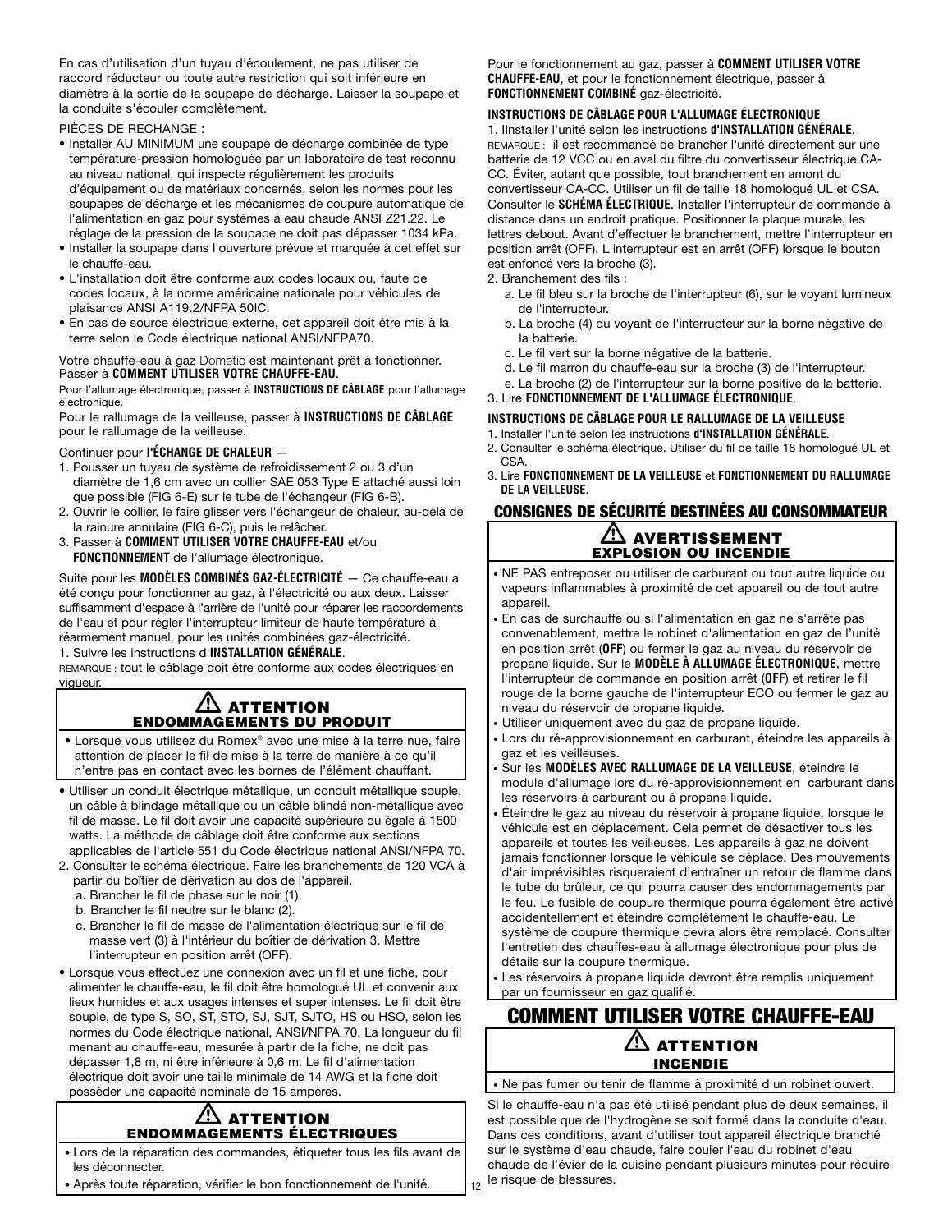En cas d'utilisation d'un tuyau d'écoulement, ne pas utiliser de raccord réducteur ou toute autre restriction qui soit inférieure en diamètre à la sortie de la soupape de décharge. Laisser la soupape et la conduite s'écouler complètement.

#### PIÈCES DE RECHANGE :

- Installer AU MINIMUM une soupape de décharge combinée de type température-pression homologuée par un laboratoire de test reconnu au niveau national, qui inspecte régulièrement les produits d'équipement ou de matériaux concernés, selon les normes pour les soupapes de décharge et les mécanismes de coupure automatique de l'alimentation en gaz pour systèmes à eau chaude ANSI Z21.22. Le réglage de la pression de la soupape ne doit pas dépasser 1034 kPa.
- Installer la soupape dans l'ouverture prévue et marquée à cet effet sur le chauffe-eau.
- L'installation doit être conforme aux codes locaux ou, faute de codes locaux, à la norme américaine nationale pour véhicules de plaisance ANSI A119.2/NFPA 50IC.
- En cas de source électrique externe, cet appareil doit être mis à la terre selon le Code électrique national ANSI/NFPA70.

Votre chauffe-eau à gaz Dometic est maintenant prêt à fonctionner. Passer à **COMMENT UTILISER VOTRE CHAUFFE-EAU**.

Pour l'allumage électronique, passer à **INSTRUCTIONS DE CÂBLAGE** pour l'allumage électronique.

Pour le rallumage de la veilleuse, passer à **INSTRUCTIONS DE CÂBLAGE** pour le rallumage de la veilleuse.

#### Continuer pour **l'ÉCHANGE DE CHALEUR** —

- 1. Pousser un tuyau de système de refroidissement 2 ou 3 d'un diamètre de 1,6 cm avec un collier SAE 053 Type E attaché aussi loin que possible (FIG 6-E) sur le tube de l'échangeur (FIG 6-B).
- 2. Ouvrir le collier, le faire glisser vers l'échangeur de chaleur, au-delà de la rainure annulaire (FIG 6-C), puis le relâcher.
- 3. Passer à **COMMENT UTILISER VOTRE CHAUFFE-EAU** et/ou **FONCTIONNEMENT** de l'allumage électronique.

Suite pour les **MODÈLES COMBINÉS GAZ-ÉLECTRICITÉ** — Ce chauffe-eau a été conçu pour fonctionner au gaz, à l'électricité ou aux deux. Laisser suffisamment d'espace à l'arrière de l'unité pour réparer les raccordements de l'eau et pour régler l'interrupteur limiteur de haute température à réarmement manuel, pour les unités combinées gaz-électricité.

1. Suivre les instructions d'**INSTALLATION GÉNÉRALE**.

REMARQUE : tout le câblage doit être conforme aux codes électriques en vigueur.

# ATTENTION ENDOMMAGEMENTS DU PRODUIT

- Lorsque vous utilisez du Romex® avec une mise à la terre nue, faire attention de placer le fil de mise à la terre de manière à ce qu'il n'entre pas en contact avec les bornes de l'élément chauffant.
- Utiliser un conduit électrique métallique, un conduit métallique souple, un câble à blindage métallique ou un câble blindé non-métallique avec fil de masse. Le fil doit avoir une capacité supérieure ou égale à 1500 watts. La méthode de câblage doit être conforme aux sections applicables de l'article 551 du Code électrique national ANSI/NFPA 70.
- 2. Consulter le schéma électrique. Faire les branchements de 120 VCA à partir du boîtier de dérivation au dos de l'appareil.
	- a. Brancher le fil de phase sur le noir (1).
	- b. Brancher le fil neutre sur le blanc (2).
	- c. Brancher le fil de masse de l'alimentation électrique sur le fil de
	- masse vert (3) à l'intérieur du boîtier de dérivation 3. Mettre l'interrupteur en position arrêt (OFF).
- Lorsque vous effectuez une connexion avec un fil et une fiche, pour alimenter le chauffe-eau, le fil doit être homologué UL et convenir aux lieux humides et aux usages intenses et super intenses. Le fil doit être souple, de type S, SO, ST, STO, SJ, SJT, SJTO, HS ou HSO, selon les normes du Code électrique national, ANSI/NFPA 70. La longueur du fil menant au chauffe-eau, mesurée à partir de la fiche, ne doit pas dépasser 1,8 m, ni être inférieure à 0,6 m. Le fil d'alimentation électrique doit avoir une taille minimale de 14 AWG et la fiche doit posséder une capacité nominale de 15 ampères.

# $\mathbf{\mathbb{C}}$ attention ENDOMMAGEMENTS ÉLECTRIQUES

- Lors de la réparation des commandes, étiqueter tous les fils avant de les déconnecter.
- Après toute réparation, vérifier le bon fonctionnement de l'unité.

Pour le fonctionnement au gaz, passer à **COMMENT UTILISER VOTRE CHAUFFE-EAU**, et pour le fonctionnement électrique, passer à **FONCTIONNEMENT COMBINÉ** gaz-électricité.

#### **INSTRUCTIONS DE CÂBLAGE POUR L'ALLUMAGE ÉLECTRONIQUE**

1. IInstaller l'unité selon les instructions **d'INSTALLATION GÉNÉRALE**. REMARQUE : il est recommandé de brancher l'unité directement sur une batterie de 12 VCC ou en aval du filtre du convertisseur électrique CA-CC. Éviter, autant que possible, tout branchement en amont du convertisseur CA-CC. Utiliser un fil de taille 18 homologué UL et CSA. Consulter le **SCHÉMA ÉLECTRIQUE**. Installer l'interrupteur de commande à distance dans un endroit pratique. Positionner la plaque murale, les lettres debout. Avant d'effectuer le branchement, mettre l'interrupteur en position arrêt (OFF). L'interrupteur est en arrêt (OFF) lorsque le bouton est enfoncé vers la broche (3).

2. Branchement des fils :

- a. Le fil bleu sur la broche de l'interrupteur (6), sur le voyant lumineux de l'interrupteur.
- b. La broche (4) du voyant de l'interrupteur sur la borne négative de la batterie.
- c. Le fil vert sur la borne négative de la batterie.
- d. Le fil marron du chauffe-eau sur la broche (3) de l'interrupteur.
- e. La broche (2) de l'interrupteur sur la borne positive de la batterie.
- 3. Lire **FONCTIONNEMENT DE L'ALLUMAGE ÉLECTRONIQUE**.

#### **INSTRUCTIONS DE CÂBLAGE POUR LE RALLUMAGE DE LA VEILLEUSE**

- 1. Installer l'unité selon les instructions **d'INSTALLATION GÉNÉRALE**.
- 2. Consulter le schéma électrique. Utiliser du fil de taille 18 homologué UL et CSA.
- 3. Lire **FONCTIONNEMENT DE LA VEILLEUSE** et **FONCTIONNEMENT DU RALLUMAGE DE LA VEILLEUSE.**

# CONSIGNES DE SÉCURITÉ DESTINÉES AU CONSOMMATEUR **VERTISSEMENT** EXPLOSION OU INCENDIE

- NE PAS entreposer ou utiliser de carburant ou tout autre liquide ou vapeurs inflammables à proximité de cet appareil ou de tout autre appareil.
- En cas de surchauffe ou si l'alimentation en gaz ne s'arrête pas convenablement, mettre le robinet d'alimentation en gaz de l'unité en position arrêt (**OFF**) ou fermer le gaz au niveau du réservoir de propane liquide. Sur le **MODÈLE À ALLUMAGE ÉLECTRONIQUE**, mettre l'interrupteur de commande en position arrêt (**OFF**) et retirer le fil rouge de la borne gauche de l'interrupteur ECO ou fermer le gaz au niveau du réservoir de propane liquide.
- Utiliser uniquement avec du gaz de propane liquide.
- Lors du ré-approvisionnement en carburant, éteindre les appareils à gaz et les veilleuses.
- Sur les **MODÈLES AVEC RALLUMAGE DE LA VEILLEUSE**, éteindre le module d'allumage lors du ré-approvisionnement en carburant dans les réservoirs à carburant ou à propane liquide.
- Éteindre le gaz au niveau du réservoir à propane liquide, lorsque le véhicule est en déplacement. Cela permet de désactiver tous les appareils et toutes les veilleuses. Les appareils à gaz ne doivent jamais fonctionner lorsque le véhicule se déplace. Des mouvements d'air imprévisibles risqueraient d'entraîner un retour de flamme dans le tube du brûleur, ce qui pourra causer des endommagements par le feu. Le fusible de coupure thermique pourra également être activé accidentellement et éteindre complètement le chauffe-eau. Le système de coupure thermique devra alors être remplacé. Consulter l'entretien des chauffes-eau à allumage électronique pour plus de détails sur la coupure thermique.
- Les réservoirs à propane liquide devront être remplis uniquement par un fournisseur en gaz qualifié.

# COMMENT UTILISER VOTRE CHAUFFE-EAU

# ATTENTION INCENDIE

• Ne pas fumer ou tenir de flamme à proximité d'un robinet ouvert.

 $12$  is risque ac bicssuics. Si le chauffe-eau n'a pas été utilisé pendant plus de deux semaines, il est possible que de l'hydrogène se soit formé dans la conduite d'eau. Dans ces conditions, avant d'utiliser tout appareil électrique branché sur le système d'eau chaude, faire couler l'eau du robinet d'eau chaude de l'évier de la cuisine pendant plusieurs minutes pour réduire le risque de blessures.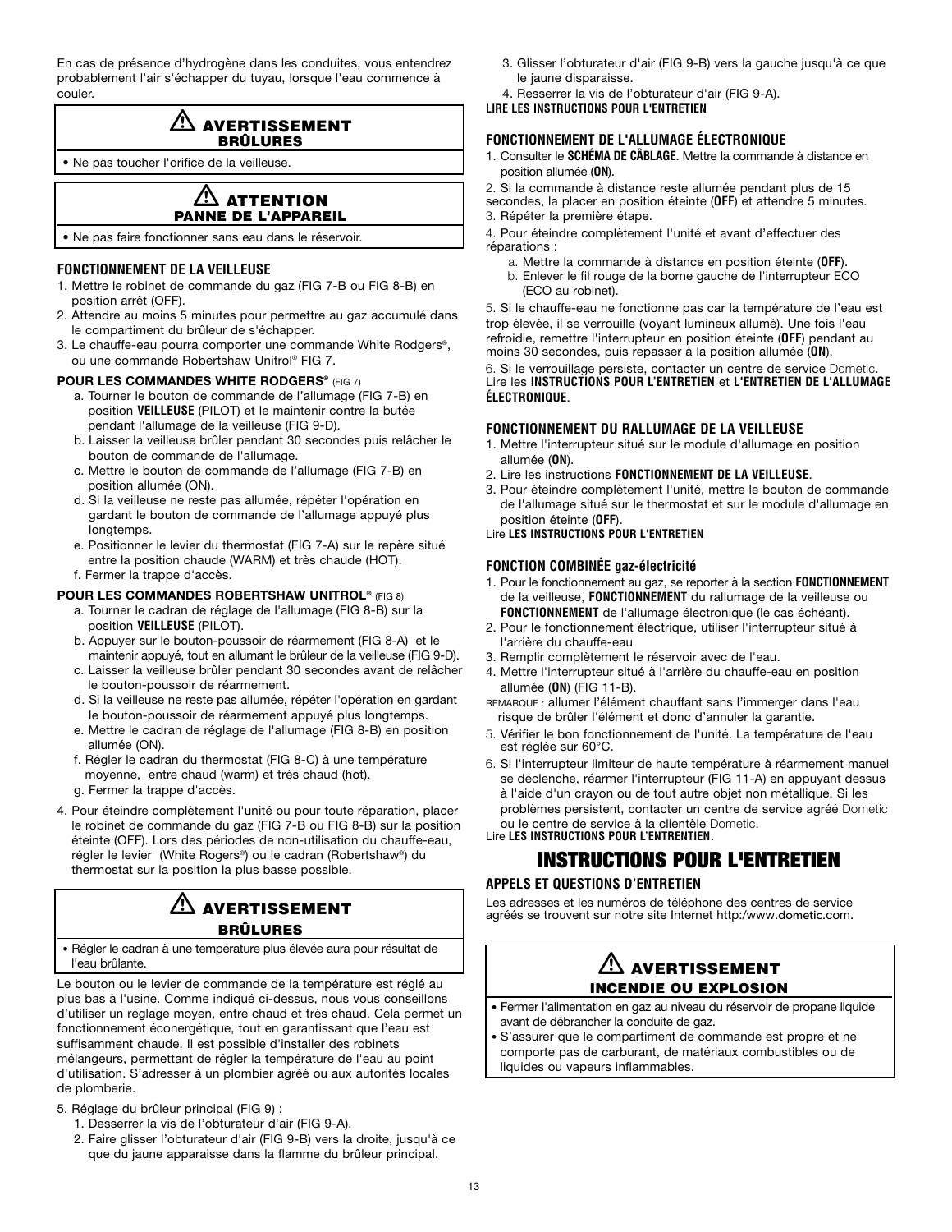En cas de présence d'hydrogène dans les conduites, vous entendrez probablement l'air s'échapper du tuyau, lorsque l'eau commence à couler.

# $\mathbin{\Omega}$  avertissement BRÛLURES

• Ne pas toucher l'orifice de la veilleuse.

# $\mathbb{A}$  attention PANNE DE L'APPAREIL

• Ne pas faire fonctionner sans eau dans le réservoir.

## **FONCTIONNEMENT DE LA VEILLEUSE**

- 1. Mettre le robinet de commande du gaz (FIG 7-B ou FIG 8-B) en position arrêt (OFF).
- 2. Attendre au moins 5 minutes pour permettre au gaz accumulé dans le compartiment du brûleur de s'échapper.
- 3. Le chauffe-eau pourra comporter une commande White Rodgers®' ou une commande Robertshaw Unitrol® FIG 7.

#### **POUR LES COMMANDES WHITE RODGERS®** (FIG 7)

- a. Tourner le bouton de commande de l'allumage (FIG 7-B) en position **VEILLEUSE** (PILOT) et le maintenir contre la butée pendant l'allumage de la veilleuse (FIG 9-D).
- b. Laisser la veilleuse brûler pendant 30 secondes puis relâcher le bouton de commande de l'allumage.
- c. Mettre le bouton de commande de l'allumage (FIG 7-B) en position allumée (ON).
- d. Si la veilleuse ne reste pas allumée, répéter l'opération en gardant le bouton de commande de l'allumage appuyé plus longtemps.
- e. Positionner le levier du thermostat (FIG 7-A) sur le repère situé entre la position chaude (WARM) et très chaude (HOT).
- f. Fermer la trappe d'accès.

#### **POUR LES COMMANDES ROBERTSHAW UNITROL®** (FIG 8)

- a. Tourner le cadran de réglage de l'allumage (FIG 8-B) sur la position **VEILLEUSE** (PILOT).
- b. Appuyer sur le bouton-poussoir de réarmement (FIG 8-A) et le maintenir appuyé, tout en allumant le brûleur de la veilleuse (FIG 9-D).
- c. Laisser la veilleuse brûler pendant 30 secondes avant de relâcher le bouton-poussoir de réarmement.
- d. Si la veilleuse ne reste pas allumée, répéter l'opération en gardant le bouton-poussoir de réarmement appuyé plus longtemps.
- e. Mettre le cadran de réglage de l'allumage (FIG 8-B) en position allumée (ON).
- f. Régler le cadran du thermostat (FIG 8-C) à une température moyenne, entre chaud (warm) et très chaud (hot).
- g. Fermer la trappe d'accès.
- 4. Pour éteindre complètement l'unité ou pour toute réparation, placer le robinet de commande du gaz (FIG 7-B ou FIG 8-B) sur la position éteinte (OFF). Lors des périodes de non-utilisation du chauffe-eau, régler le levier (White Rogers®) ou le cadran (Robertshaw®) du thermostat sur la position la plus basse possible.

# $\mathbin{\Omega}\Lambda$  avertissement BRÛLURES

• Régler le cadran à une température plus élevée aura pour résultat de l'eau brûlante.

Le bouton ou le levier de commande de la température est réglé au plus bas à l'usine. Comme indiqué ci-dessus, nous vous conseillons d'utiliser un réglage moyen, entre chaud et très chaud. Cela permet un fonctionnement éconergétique, tout en garantissant que l'eau est suffisamment chaude. Il est possible d'installer des robinets mélangeurs, permettant de régler la température de l'eau au point d'utilisation. S'adresser à un plombier agréé ou aux autorités locales de plomberie.

- 5. Réglage du brûleur principal (FIG 9) :
	- 1. Desserrer la vis de l'obturateur d'air (FIG 9-A).
	- 2. Faire glisser l'obturateur d'air (FIG 9-B) vers la droite, jusqu'à ce que du jaune apparaisse dans la flamme du brûleur principal.
- 3. Glisser l'obturateur d'air (FIG 9-B) vers la gauche jusqu'à ce que le jaune disparaisse.
- 4. Resserrer la vis de l'obturateur d'air (FIG 9-A).
- **LIRE LES INSTRUCTIONS POUR L'ENTRETIEN**

## **FONCTIONNEMENT DE L'ALLUMAGE ÉLECTRONIQUE**

- 1. Consulter le **SCHÉMA DE CÂBLAGE**. Mettre la commande à distance en position allumée (**ON**).
- 2. Si la commande à distance reste allumée pendant plus de 15
- secondes, la placer en position éteinte (**OFF**) et attendre 5 minutes. 3. Répéter la première étape.

4. Pour éteindre complètement l'unité et avant d'effectuer des réparations :

- a. Mettre la commande à distance en position éteinte (**OFF**).
- b. Enlever le fil rouge de la borne gauche de l'interrupteur ECO (ECO au robinet).

5. Si le chauffe-eau ne fonctionne pas car la température de l'eau est trop élevée, il se verrouille (voyant lumineux allumé). Une fois l'eau refroidie, remettre l'interrupteur en position éteinte (**OFF**) pendant au moins 30 secondes, puis repasser à la position allumée (**ON**).

#### 6. Si le verrouillage persiste, contacter un centre de service Dometic. Lire les **INSTRUCTIONS POUR L'ENTRETIEN** et **L'ENTRETIEN DE L'ALLUMAGE ÉLECTRONIQUE**.

#### **FONCTIONNEMENT DU RALLUMAGE DE LA VEILLEUSE**

- 1. Mettre l'interrupteur situé sur le module d'allumage en position allumée (**ON**).
- 2. Lire les instructions **FONCTIONNEMENT DE LA VEILLEUSE**.
- 3. Pour éteindre complètement l'unité, mettre le bouton de commande de l'allumage situé sur le thermostat et sur le module d'allumage en position éteinte (**OFF**).

#### Lire **LES INSTRUCTIONS POUR L'ENTRETIEN**

#### **FONCTION COMBINÉE gaz-électricité**

- 1. Pour le fonctionnement au gaz, se reporter à la section **FONCTIONNEMENT** de la veilleuse, **FONCTIONNEMENT** du rallumage de la veilleuse ou FONCTIONNEMENT de l'allumage électronique (le cas échéant).
- 2. Pour le fonctionnement électrique, utiliser l'interrupteur situé à l'arrière du chauffe-eau
- 3. Remplir complètement le réservoir avec de l'eau.
- 4. Mettre l'interrupteur situé à l'arrière du chauffe-eau en position allumée (**ON**) (FIG 11-B).
- REMARQUE : allumer l'élément chauffant sans l'immerger dans l'eau risque de brûler l'élément et donc d'annuler la garantie.
- 5. Vérifier le bon fonctionnement de l'unité. La température de l'eau est réglée sur 60°C.
- 6. Si l'interrupteur limiteur de haute température à réarmement manuel se déclenche, réarmer l'interrupteur (FIG 11-A) en appuyant dessus à l'aide d'un crayon ou de tout autre objet non métallique. Si les problèmes persistent, contacter un centre de service agréé Dometic ou le centre de service à la clientèle Dometic.
- Lire **LES INSTRUCTIONS POUR L'ENTRENTIEN.**

# INSTRUCTIONS POUR L'ENTRETIEN

## **APPELS ET QUESTIONS D'ENTRETIEN**

Les adresses et les numéros de téléphone des centres de service agréés se trouvent sur notre site Internet http:/www.dometic.com.

# $\triangle$  avertissement INCENDIE OU EXPLOSION

- Fermer l'alimentation en gaz au niveau du réservoir de propane liquide avant de débrancher la conduite de gaz.
- S'assurer que le compartiment de commande est propre et ne comporte pas de carburant, de matériaux combustibles ou de liquides ou vapeurs inflammables.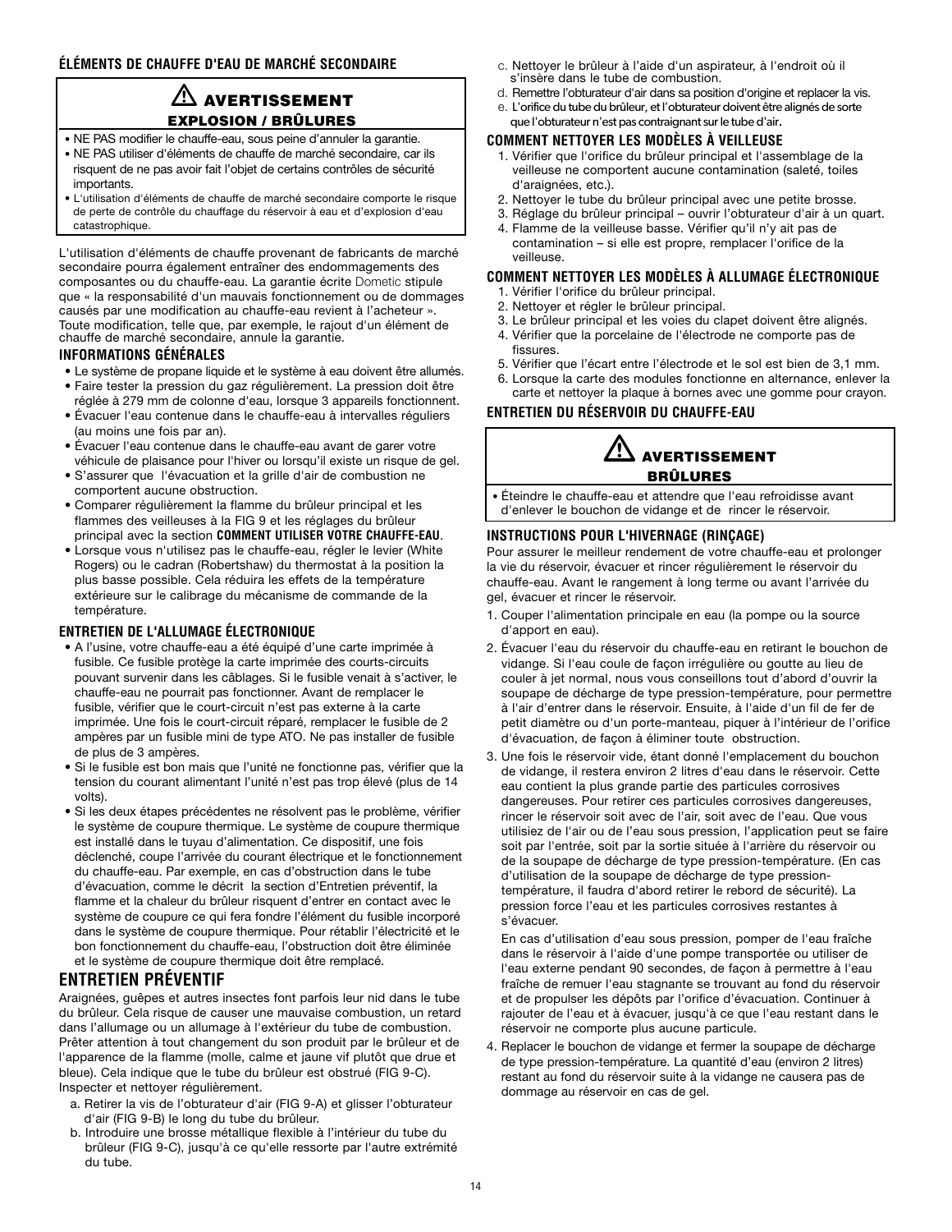# **ÉLÉMENTS DE CHAUFFE D'EAU DE MARCHÉ SECONDAIRE**

# $\mathbb A$  avertissement EXPLOSION / BRÛLURES

- NE PAS modifier le chauffe-eau, sous peine d'annuler la garantie.
- NE PAS utiliser d'éléments de chauffe de marché secondaire, car ils risquent de ne pas avoir fait l'objet de certains contrôles de sécurité importants.
- L'utilisation d'éléments de chauffe de marché secondaire comporte le risque de perte de contrôle du chauffage du réservoir à eau et d'explosion d'eau catastrophique.

L'utilisation d'éléments de chauffe provenant de fabricants de marché secondaire pourra également entraîner des endommagements des composantes ou du chauffe-eau. La garantie écrite Dometic stipule que « la responsabilité d'un mauvais fonctionnement ou de dommages causés par une modification au chauffe-eau revient à l'acheteur ». Toute modification, telle que, par exemple, le rajout d'un élément de chauffe de marché secondaire, annule la garantie.

## **INFORMATIONS GÉNÉRALES**

- Le système de propane liquide et le système à eau doivent être allumés.
- Faire tester la pression du gaz régulièrement. La pression doit être réglée à 279 mm de colonne d'eau, lorsque 3 appareils fonctionnent.
- Évacuer l'eau contenue dans le chauffe-eau à intervalles réguliers (au moins une fois par an).
- Évacuer l'eau contenue dans le chauffe-eau avant de garer votre véhicule de plaisance pour l'hiver ou lorsqu'il existe un risque de gel.
- S'assurer que l'évacuation et la grille d'air de combustion ne comportent aucune obstruction.
- Comparer régulièrement la flamme du brûleur principal et les flammes des veilleuses à la FIG 9 et les réglages du brûleur principal avec la section **COMMENT UTILISER VOTRE CHAUFFE-EAU**.
- Lorsque vous n'utilisez pas le chauffe-eau, régler le levier (White Rogers) ou le cadran (Robertshaw) du thermostat à la position la plus basse possible. Cela réduira les effets de la température extérieure sur le calibrage du mécanisme de commande de la température.

# **ENTRETIEN DE L'ALLUMAGE ÉLECTRONIQUE**

- A l'usine, votre chauffe-eau a été équipé d'une carte imprimée à fusible. Ce fusible protège la carte imprimée des courts-circuits pouvant survenir dans les câblages. Si le fusible venait à s'activer, le chauffe-eau ne pourrait pas fonctionner. Avant de remplacer le fusible, vérifier que le court-circuit n'est pas externe à la carte imprimée. Une fois le court-circuit réparé, remplacer le fusible de 2 ampères par un fusible mini de type ATO. Ne pas installer de fusible de plus de 3 ampères.
- Si le fusible est bon mais que l'unité ne fonctionne pas, vérifier que la tension du courant alimentant l'unité n'est pas trop élevé (plus de 14 volts).
- Si les deux étapes précédentes ne résolvent pas le problème, vérifier le système de coupure thermique. Le système de coupure thermique est installé dans le tuyau d'alimentation. Ce dispositif, une fois déclenché, coupe l'arrivée du courant électrique et le fonctionnement du chauffe-eau. Par exemple, en cas d'obstruction dans le tube d'évacuation, comme le décrit la section d'Entretien préventif, la flamme et la chaleur du brûleur risquent d'entrer en contact avec le système de coupure ce qui fera fondre l'élément du fusible incorporé dans le système de coupure thermique. Pour rétablir l'électricité et le bon fonctionnement du chauffe-eau, l'obstruction doit être éliminée et le système de coupure thermique doit être remplacé.

# **ENTRETIEN PRÉVENTIF**

Araignées, guêpes et autres insectes font parfois leur nid dans le tube du brûleur. Cela risque de causer une mauvaise combustion, un retard dans l'allumage ou un allumage à l'extérieur du tube de combustion. Prêter attention à tout changement du son produit par le brûleur et de l'apparence de la flamme (molle, calme et jaune vif plutôt que drue et bleue). Cela indique que le tube du brûleur est obstrué (FIG 9-C). Inspecter et nettoyer régulièrement.

- a. Retirer la vis de l'obturateur d'air (FIG 9-A) et glisser l'obturateur d'air (FIG 9-B) le long du tube du brûleur.
- b. Introduire une brosse métallique flexible à l'intérieur du tube du brûleur (FIG 9-C), jusqu'à ce qu'elle ressorte par l'autre extrémité du tube.
- c. Nettoyer le brûleur à l'aide d'un aspirateur, à l'endroit où il s'insère dans le tube de combustion.
- d. Remettre l'obturateur d'air dans sa position d'origine et replacer la vis.
- e. L'orifice du tube du brûleur, et l'obturateur doivent être alignés de sorte que l'obturateur n'est pas contraignant sur le tube d'air**.**

# **COMMENT NETTOYER LES MODÈLES À VEILLEUSE**

- 1. Vérifier que l'orifice du brûleur principal et l'assemblage de la veilleuse ne comportent aucune contamination (saleté, toiles d'araignées, etc.).
- 2. Nettoyer le tube du brûleur principal avec une petite brosse.
- 3. Réglage du brûleur principal ouvrir l'obturateur d'air à un quart.
- 4. Flamme de la veilleuse basse. Vérifier qu'il n'y ait pas de contamination – si elle est propre, remplacer l'orifice de la veilleuse.

# **COMMENT NETTOYER LES MODÈLES À ALLUMAGE ÉLECTRONIQUE**

- 1. Vérifier l'orifice du brûleur principal.
- 2. Nettoyer et régler le brûleur principal.
- 3. Le brûleur principal et les voies du clapet doivent être alignés.
- 4. Vérifier que la porcelaine de l'électrode ne comporte pas de fissures.
- 5. Vérifier que l'écart entre l'électrode et le sol est bien de 3,1 mm.
- 6. Lorsque la carte des modules fonctionne en alternance, enlever la carte et nettoyer la plaque à bornes avec une gomme pour crayon.

# **ENTRETIEN DU RÉSERVOIR DU CHAUFFE-EAU**

# AVERTISSEMENT BRÛLURES

• Éteindre le chauffe-eau et attendre que l'eau refroidisse avant d'enlever le bouchon de vidange et de rincer le réservoir.

## **INSTRUCTIONS POUR L'HIVERNAGE (RINÇAGE)**

Pour assurer le meilleur rendement de votre chauffe-eau et prolonger la vie du réservoir, évacuer et rincer régulièrement le réservoir du chauffe-eau. Avant le rangement à long terme ou avant l'arrivée du gel, évacuer et rincer le réservoir.

- 1. Couper l'alimentation principale en eau (la pompe ou la source d'apport en eau).
- 2. Évacuer l'eau du réservoir du chauffe-eau en retirant le bouchon de vidange. Si l'eau coule de façon irrégulière ou goutte au lieu de couler à jet normal, nous vous conseillons tout d'abord d'ouvrir la soupape de décharge de type pression-température, pour permettre à l'air d'entrer dans le réservoir. Ensuite, à l'aide d'un fil de fer de petit diamètre ou d'un porte-manteau, piquer à l'intérieur de l'orifice d'évacuation, de façon à éliminer toute obstruction.
- 3. Une fois le réservoir vide, étant donné l'emplacement du bouchon de vidange, il restera environ 2 litres d'eau dans le réservoir. Cette eau contient la plus grande partie des particules corrosives dangereuses. Pour retirer ces particules corrosives dangereuses, rincer le réservoir soit avec de l'air, soit avec de l'eau. Que vous utilisiez de l'air ou de l'eau sous pression, l'application peut se faire soit par l'entrée, soit par la sortie située à l'arrière du réservoir ou de la soupape de décharge de type pression-température. (En cas d'utilisation de la soupape de décharge de type pressiontempérature, il faudra d'abord retirer le rebord de sécurité). La pression force l'eau et les particules corrosives restantes à s'évacuer.

En cas d'utilisation d'eau sous pression, pomper de l'eau fraîche dans le réservoir à l'aide d'une pompe transportée ou utiliser de l'eau externe pendant 90 secondes, de façon à permettre à l'eau fraîche de remuer l'eau stagnante se trouvant au fond du réservoir et de propulser les dépôts par l'orifice d'évacuation. Continuer à rajouter de l'eau et à évacuer, jusqu'à ce que l'eau restant dans le réservoir ne comporte plus aucune particule.

4. Replacer le bouchon de vidange et fermer la soupape de décharge de type pression-température. La quantité d'eau (environ 2 litres) restant au fond du réservoir suite à la vidange ne causera pas de dommage au réservoir en cas de gel.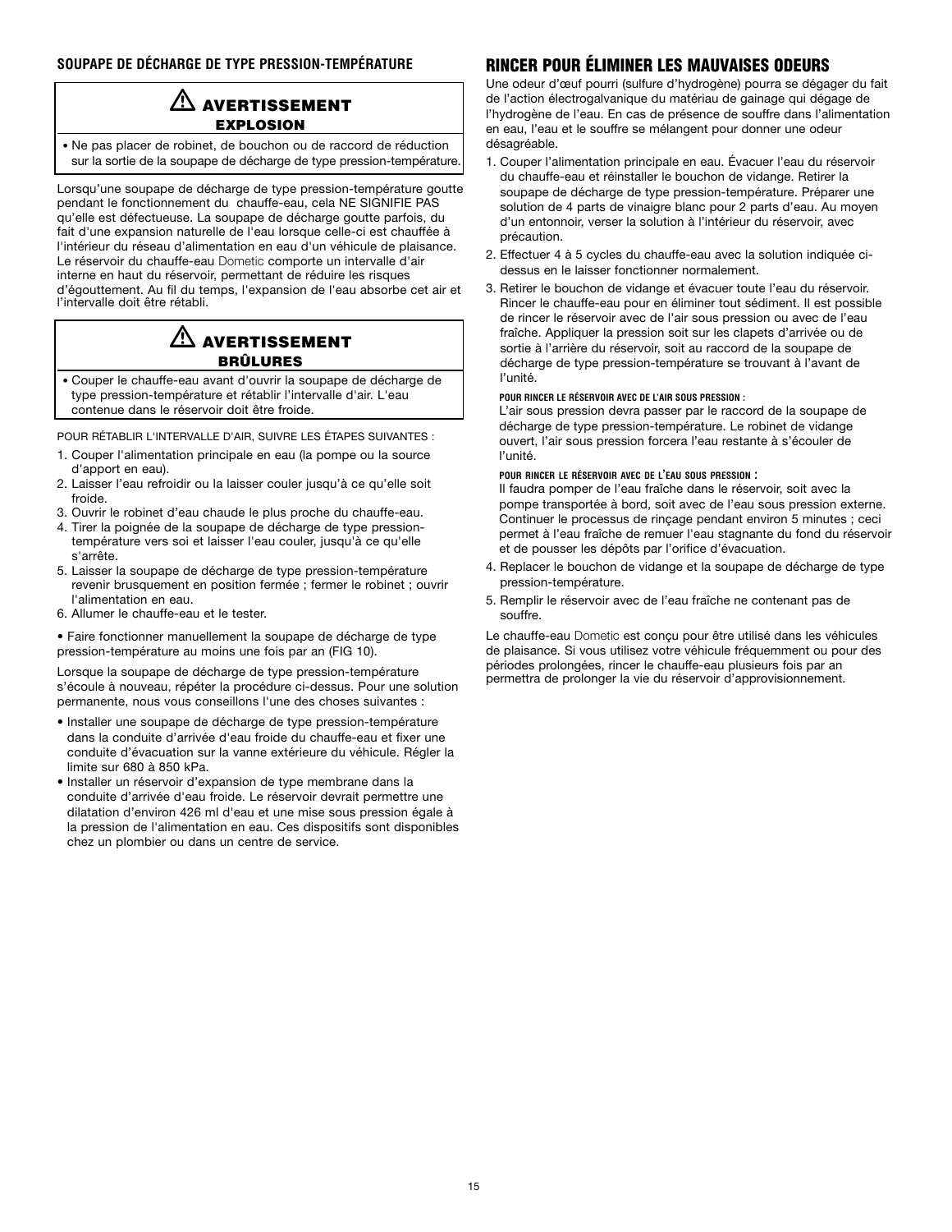# **SOUPAPE DE DÉCHARGE DE TYPE PRESSION-TEMPÉRATURE**

# $\bigwedge$  avertissement EXPLOSION

• Ne pas placer de robinet, de bouchon ou de raccord de réduction sur la sortie de la soupape de décharge de type pression-température.

Lorsqu'une soupape de décharge de type pression-température goutte pendant le fonctionnement du chauffe-eau, cela NE SIGNIFIE PAS qu'elle est défectueuse. La soupape de décharge goutte parfois, du fait d'une expansion naturelle de l'eau lorsque celle-ci est chauffée à l'intérieur du réseau d'alimentation en eau d'un véhicule de plaisance. Le réservoir du chauffe-eau Dometic comporte un intervalle d'air interne en haut du réservoir, permettant de réduire les risques d'égouttement. Au fil du temps, l'expansion de l'eau absorbe cet air et l'intervalle doit être rétabli.

# $\bigwedge$  avertissement BRÛLURES

• Couper le chauffe-eau avant d'ouvrir la soupape de décharge de type pression-température et rétablir l'intervalle d'air. L'eau contenue dans le réservoir doit être froide.

POUR RÉTABLIR L'INTERVALLE D'AIR, SUIVRE LES ÉTAPES SUIVANTES :

- 1. Couper l'alimentation principale en eau (la pompe ou la source d'apport en eau).
- 2. Laisser l'eau refroidir ou la laisser couler jusqu'à ce qu'elle soit froide.
- 3. Ouvrir le robinet d'eau chaude le plus proche du chauffe-eau.
- 4. Tirer la poignée de la soupape de décharge de type pressiontempérature vers soi et laisser l'eau couler, jusqu'à ce qu'elle s'arrête.
- 5. Laisser la soupape de décharge de type pression-température revenir brusquement en position fermée ; fermer le robinet ; ouvrir l'alimentation en eau.
- 6. Allumer le chauffe-eau et le tester.

• Faire fonctionner manuellement la soupape de décharge de type pression-température au moins une fois par an (FIG 10).

Lorsque la soupape de décharge de type pression-température s'écoule à nouveau, répéter la procédure ci-dessus. Pour une solution permanente, nous vous conseillons l'une des choses suivantes :

- Installer une soupape de décharge de type pression-température dans la conduite d'arrivée d'eau froide du chauffe-eau et fixer une conduite d'évacuation sur la vanne extérieure du véhicule. Régler la limite sur 680 à 850 kPa.
- Installer un réservoir d'expansion de type membrane dans la conduite d'arrivée d'eau froide. Le réservoir devrait permettre une dilatation d'environ 426 ml d'eau et une mise sous pression égale à la pression de l'alimentation en eau. Ces dispositifs sont disponibles chez un plombier ou dans un centre de service.

# RINCER POUR ÉLIMINER LES MAUVAISES ODEURS

Une odeur d'œuf pourri (sulfure d'hydrogène) pourra se dégager du fait de l'action électrogalvanique du matériau de gainage qui dégage de l'hydrogène de l'eau. En cas de présence de souffre dans l'alimentation en eau, l'eau et le souffre se mélangent pour donner une odeur désagréable.

- 1. Couper l'alimentation principale en eau. Évacuer l'eau du réservoir du chauffe-eau et réinstaller le bouchon de vidange. Retirer la soupape de décharge de type pression-température. Préparer une solution de 4 parts de vinaigre blanc pour 2 parts d'eau. Au moyen d'un entonnoir, verser la solution à l'intérieur du réservoir, avec précaution.
- 2. Effectuer 4 à 5 cycles du chauffe-eau avec la solution indiquée cidessus en le laisser fonctionner normalement.
- 3. Retirer le bouchon de vidange et évacuer toute l'eau du réservoir. Rincer le chauffe-eau pour en éliminer tout sédiment. Il est possible de rincer le réservoir avec de l'air sous pression ou avec de l'eau fraîche. Appliquer la pression soit sur les clapets d'arrivée ou de sortie à l'arrière du réservoir, soit au raccord de la soupape de décharge de type pression-température se trouvant à l'avant de l'unité.

#### **POUR RINCER LE RÉSERVOIR AVEC DE L'AIR SOUS PRESSION :**

L'air sous pression devra passer par le raccord de la soupape de décharge de type pression-température. Le robinet de vidange ouvert, l'air sous pression forcera l'eau restante à s'écouler de l'unité.

#### **POUR RINCER LE RÉSERVOIR AVEC DE L'EAU SOUS PRESSION :**

Il faudra pomper de l'eau fraîche dans le réservoir, soit avec la pompe transportée à bord, soit avec de l'eau sous pression externe. Continuer le processus de rinçage pendant environ 5 minutes ; ceci permet à l'eau fraîche de remuer l'eau stagnante du fond du réservoir et de pousser les dépôts par l'orifice d'évacuation.

- 4. Replacer le bouchon de vidange et la soupape de décharge de type pression-température.
- 5. Remplir le réservoir avec de l'eau fraîche ne contenant pas de souffre.

Le chauffe-eau Dometic est conçu pour être utilisé dans les véhicules de plaisance. Si vous utilisez votre véhicule fréquemment ou pour des périodes prolongées, rincer le chauffe-eau plusieurs fois par an permettra de prolonger la vie du réservoir d'approvisionnement.